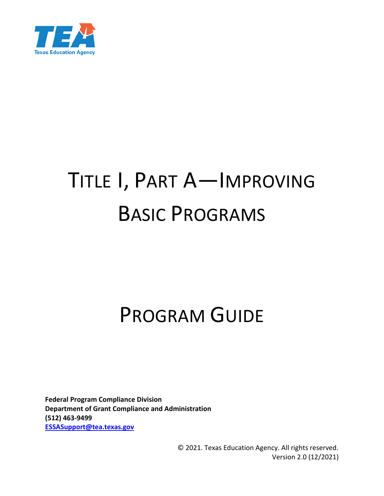

# TITLE I, PART A—IMPROVING BASIC PROGRAMS

# PROGRAM GUIDE

**Federal Program Compliance Division Department of Grant Compliance and Administration (512) 463-9499 [ESSASupport@tea.texas.gov](mailto:ESSASupport@tea.texas.gov)**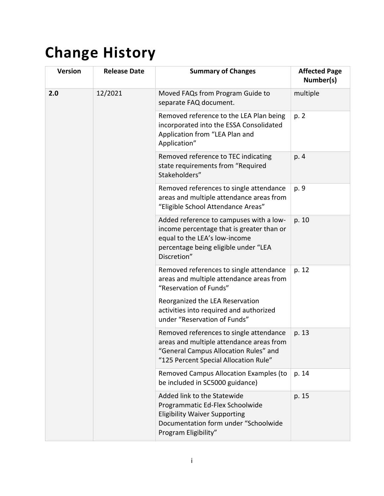# <span id="page-1-0"></span>**Change History**

| <b>Version</b> | <b>Release Date</b> | <b>Summary of Changes</b>                                                                                                                                                    | <b>Affected Page</b><br>Number(s) |
|----------------|---------------------|------------------------------------------------------------------------------------------------------------------------------------------------------------------------------|-----------------------------------|
| 2.0            | 12/2021             | Moved FAQs from Program Guide to<br>separate FAQ document.                                                                                                                   | multiple                          |
|                |                     | Removed reference to the LEA Plan being<br>incorporated into the ESSA Consolidated<br>Application from "LEA Plan and<br>Application"                                         | p. 2                              |
|                |                     | Removed reference to TEC indicating<br>state requirements from "Required<br>Stakeholders"                                                                                    | p. 4                              |
|                |                     | Removed references to single attendance<br>areas and multiple attendance areas from<br>"Eligible School Attendance Areas"                                                    | p. 9                              |
|                |                     | Added reference to campuses with a low-<br>income percentage that is greater than or<br>equal to the LEA's low-income<br>percentage being eligible under "LEA<br>Discretion" | p. 10                             |
|                |                     | Removed references to single attendance<br>areas and multiple attendance areas from<br>"Reservation of Funds"                                                                | p. 12                             |
|                |                     | Reorganized the LEA Reservation<br>activities into required and authorized<br>under "Reservation of Funds"                                                                   |                                   |
|                |                     | Removed references to single attendance<br>areas and multiple attendance areas from<br>"General Campus Allocation Rules" and<br>"125 Percent Special Allocation Rule"        | p. 13                             |
|                |                     | Removed Campus Allocation Examples (to<br>be included in SC5000 guidance)                                                                                                    | p. 14                             |
|                |                     | Added link to the Statewide<br>Programmatic Ed-Flex Schoolwide<br><b>Eligibility Waiver Supporting</b><br>Documentation form under "Schoolwide<br>Program Eligibility"       | p. 15                             |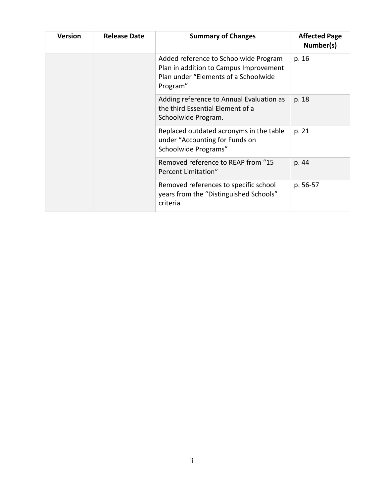| <b>Version</b>                                            | <b>Release Date</b>                                                                               | <b>Summary of Changes</b>                                                                                                | <b>Affected Page</b><br>Number(s) |
|-----------------------------------------------------------|---------------------------------------------------------------------------------------------------|--------------------------------------------------------------------------------------------------------------------------|-----------------------------------|
| Program"                                                  |                                                                                                   | Added reference to Schoolwide Program<br>Plan in addition to Campus Improvement<br>Plan under "Elements of a Schoolwide" | p. 16                             |
|                                                           |                                                                                                   | Adding reference to Annual Evaluation as<br>the third Essential Element of a<br>Schoolwide Program.                      | p. 18                             |
|                                                           | Replaced outdated acronyms in the table<br>under "Accounting for Funds on<br>Schoolwide Programs" |                                                                                                                          | p. 21                             |
| Removed reference to REAP from "15<br>Percent Limitation" |                                                                                                   | p. 44                                                                                                                    |                                   |
|                                                           |                                                                                                   | Removed references to specific school<br>years from the "Distinguished Schools"<br>criteria                              | p. 56-57                          |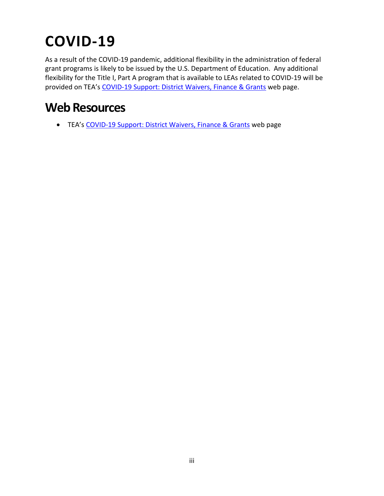# <span id="page-3-0"></span>**COVID-19**

As a result of the COVID-19 pandemic, additional flexibility in the administration of federal grant programs is likely to be issued by the U.S. Department of Education. Any additional flexibility for the Title I, Part A program that is available to LEAs related to COVID-19 will be provided on TEA's [COVID-19 Support: District Waivers, Finance & Grants](https://tea.texas.gov/texas-schools/health-safety-discipline/covid/covid-19-support-district-waivers-finance-grants) web page.

### <span id="page-3-1"></span>**Web Resources**

• TEA's [COVID-19 Support: District Waivers, Finance & Grants](https://tea.texas.gov/texas-schools/health-safety-discipline/covid/covid-19-support-district-waivers-finance-grants) web page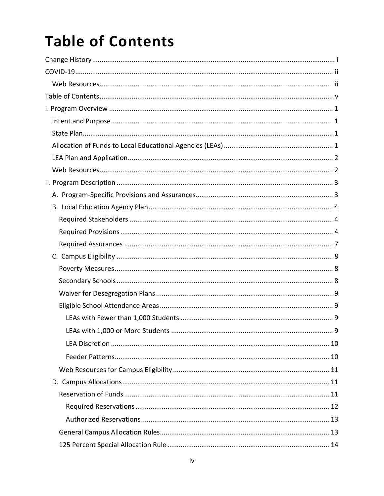# <span id="page-4-0"></span>**Table of Contents**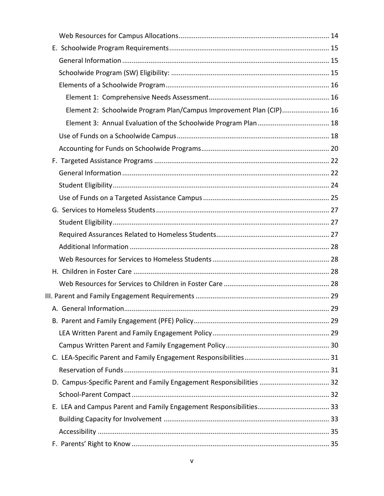| Element 2: Schoolwide Program Plan/Campus Improvement Plan (CIP) 16  |  |
|----------------------------------------------------------------------|--|
|                                                                      |  |
|                                                                      |  |
|                                                                      |  |
|                                                                      |  |
|                                                                      |  |
|                                                                      |  |
|                                                                      |  |
|                                                                      |  |
|                                                                      |  |
|                                                                      |  |
|                                                                      |  |
|                                                                      |  |
|                                                                      |  |
|                                                                      |  |
|                                                                      |  |
|                                                                      |  |
|                                                                      |  |
|                                                                      |  |
|                                                                      |  |
|                                                                      |  |
|                                                                      |  |
| D. Campus-Specific Parent and Family Engagement Responsibilities  32 |  |
|                                                                      |  |
|                                                                      |  |
|                                                                      |  |
|                                                                      |  |
|                                                                      |  |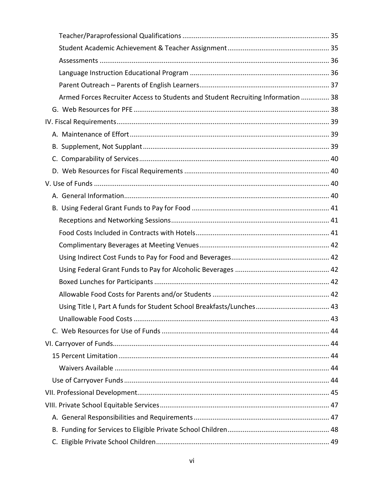| Armed Forces Recruiter Access to Students and Student Recruiting Information  38 |  |
|----------------------------------------------------------------------------------|--|
|                                                                                  |  |
|                                                                                  |  |
|                                                                                  |  |
|                                                                                  |  |
|                                                                                  |  |
|                                                                                  |  |
|                                                                                  |  |
|                                                                                  |  |
|                                                                                  |  |
|                                                                                  |  |
|                                                                                  |  |
|                                                                                  |  |
|                                                                                  |  |
|                                                                                  |  |
|                                                                                  |  |
|                                                                                  |  |
|                                                                                  |  |
|                                                                                  |  |
|                                                                                  |  |
|                                                                                  |  |
|                                                                                  |  |
|                                                                                  |  |
|                                                                                  |  |
|                                                                                  |  |
|                                                                                  |  |
|                                                                                  |  |
|                                                                                  |  |
|                                                                                  |  |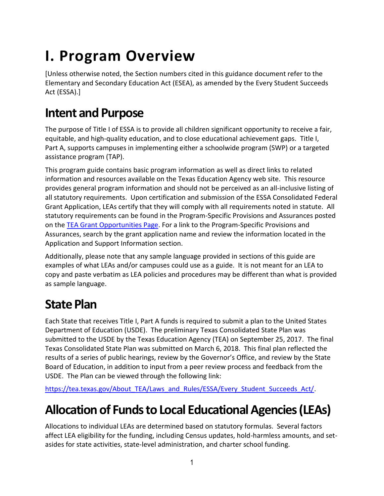# <span id="page-8-0"></span>**I. Program Overview**

[Unless otherwise noted, the Section numbers cited in this guidance document refer to the Elementary and Secondary Education Act (ESEA), as amended by the Every Student Succeeds Act (ESSA).]

### <span id="page-8-1"></span>**Intent and Purpose**

The purpose of Title I of ESSA is to provide all children significant opportunity to receive a fair, equitable, and high-quality education, and to close educational achievement gaps. Title I, Part A, supports campuses in implementing either a schoolwide program (SWP) or a targeted assistance program (TAP).

This program guide contains basic program information as well as direct links to related information and resources available on the Texas Education Agency web site. This resource provides general program information and should not be perceived as an all-inclusive listing of all statutory requirements. Upon certification and submission of the ESSA Consolidated Federal Grant Application, LEAs certify that they will comply with all requirements noted in statute. All statutory requirements can be found in the Program-Specific Provisions and Assurances posted on the [TEA Grant Opportunities Page.](https://tea4avalonzo.tea.state.tx.us/GrantOpportunities/forms/GrantProgramSearch.aspx) For a link to the Program-Specific Provisions and Assurances, search by the grant application name and review the information located in the Application and Support Information section.

Additionally, please note that any sample language provided in sections of this guide are examples of what LEAs and/or campuses could use as a guide. It is not meant for an LEA to copy and paste verbatim as LEA policies and procedures may be different than what is provided as sample language.

### <span id="page-8-2"></span>**State Plan**

Each State that receives Title I, Part A funds is required to submit a plan to the United States Department of Education (USDE). The preliminary Texas Consolidated State Plan was submitted to the USDE by the Texas Education Agency (TEA) on September 25, 2017. The final Texas Consolidated State Plan was submitted on March 6, 2018. This final plan reflected the results of a series of public hearings, review by the Governor's Office, and review by the State Board of Education, in addition to input from a peer review process and feedback from the USDE. The Plan can be viewed through the following link:

[https://tea.texas.gov/About\\_TEA/Laws\\_and\\_Rules/ESSA/Every\\_Student\\_Succeeds\\_Act/.](https://tea.texas.gov/About_TEA/Laws_and_Rules/ESSA/Every_Student_Succeeds_Act/)

## <span id="page-8-3"></span>**Allocation of Funds to Local Educational Agencies (LEAs)**

Allocations to individual LEAs are determined based on statutory formulas. Several factors affect LEA eligibility for the funding, including Census updates, hold-harmless amounts, and setasides for state activities, state-level administration, and charter school funding.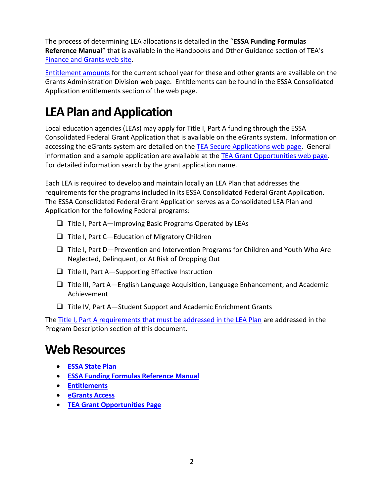The process of determining LEA allocations is detailed in the "**ESSA Funding Formulas Reference Manual**" that is available in the Handbooks and Other Guidance section of TEA's [Finance and Grants web site.](https://tea.texas.gov/Finance_and_Grants/Grants/Training_and_Other_Resources/Training_and_Other_Resources)

[Entitlement amounts](https://tea.texas.gov/Finance_and_Grants/Grants/Applying_for_a_Grant/Entitlements,_Grants_Administration_Division/) for the current school year for these and other grants are available on the Grants Administration Division web page. Entitlements can be found in the ESSA Consolidated Application entitlements section of the web page.

## <span id="page-9-0"></span>**LEA Plan and Application**

Local education agencies (LEAs) may apply for Title I, Part A funding through the ESSA Consolidated Federal Grant Application that is available on the eGrants system. Information on accessing the eGrants system are detailed on the [TEA Secure Applications web page.](https://tea.texas.gov/About_TEA/Other_Services/Secure_Applications/TEA__Secure_Applications_Information#E) General information and a sample application are available at the [TEA Grant Opportunities web page.](https://tea4avalonzo.tea.state.tx.us/GrantOpportunities/forms/GrantProgramSearch.aspx) For detailed information search by the grant application name.

Each LEA is required to develop and maintain locally an LEA Plan that addresses the requirements for the programs included in its ESSA Consolidated Federal Grant Application. The ESSA Consolidated Federal Grant Application serves as a Consolidated LEA Plan and Application for the following Federal programs:

- ❑ Title I, Part A—Improving Basic Programs Operated by LEAs
- ❑ Title I, Part C—Education of Migratory Children
- ❑ Title I, Part D—Prevention and Intervention Programs for Children and Youth Who Are Neglected, Delinquent, or At Risk of Dropping Out
- ❑ Title II, Part A—Supporting Effective Instruction
- ❑ Title III, Part A—English Language Acquisition, Language Enhancement, and Academic Achievement
- ❑ Title IV, Part A—Student Support and Academic Enrichment Grants

The Title I, Part A [requirements that must be addressed in the LEA Plan](#page-11-0) are addressed in the Program Description section of this document.

### <span id="page-9-1"></span>**Web Resources**

- **[ESSA State Plan](https://tea.texas.gov/About_TEA/Laws_and_Rules/ESSA/Every_Student_Succeeds_Act/)**
- **[ESSA Funding Formulas Reference Manual](https://tea.texas.gov/sites/default/files/essa-funding-reference-handbook.pdf)**
- **[Entitlements](https://tea.texas.gov/Finance_and_Grants/Grants/Applying_for_a_Grant/Entitlements)**
- **[eGrants Access](https://tea.texas.gov/About_TEA/Other_Services/Secure_Applications/TEA__Secure_Applications_Information#E)**
- **[TEA Grant Opportunities Page](https://tea4avalonzo.tea.state.tx.us/GrantOpportunities/forms/GrantProgramSearch.aspx)**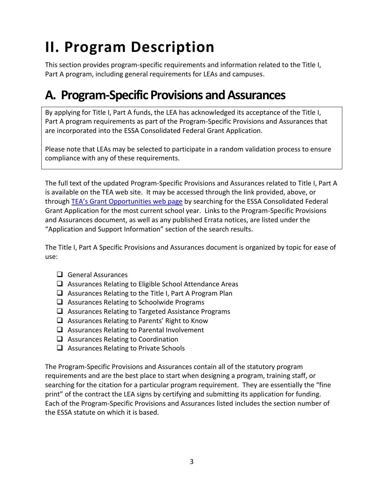# <span id="page-10-0"></span>**II. Program Description**

This section provides program-specific requirements and information related to the Title I, Part A program, including general requirements for LEAs and campuses.

### <span id="page-10-1"></span>**A. Program-Specific Provisions and Assurances**

By applying for Title I, Part A funds, the LEA has acknowledged its acceptance of the Title I, Part A program requirements as part of the Program-Specific Provisions and Assurances that are incorporated into the ESSA Consolidated Federal Grant Application.

Please note that LEAs may be selected to participate in a random validation process to ensure compliance with any of these requirements.

The full text of the updated Program-Specific Provisions and Assurances related to Title I, Part A is available on the TEA web site. It may be accessed through the link provided, above, or through [TEA's Grant Opportunities web page](https://tea4avalonzo.tea.state.tx.us/GrantOpportunities/forms/GrantProgramSearch.aspx) by searching for the ESSA Consolidated Federal Grant Application for the most current school year. Links to the Program-Specific Provisions and Assurances document, as well as any published Errata notices, are listed under the "Application and Support Information" section of the search results.

The Title I, Part A Specific Provisions and Assurances document is organized by topic for ease of use:

- ❑ General Assurances
- ❑ Assurances Relating to Eligible School Attendance Areas
- ❑ Assurances Relating to the Title I, Part A Program Plan
- ❑ Assurances Relating to Schoolwide Programs
- ❑ Assurances Relating to Targeted Assistance Programs
- ❑ Assurances Relating to Parents' Right to Know
- ❑ Assurances Relating to Parental Involvement
- ❑ Assurances Relating to Coordination
- ❑ Assurances Relating to Private Schools

The Program-Specific Provisions and Assurances contain all of the statutory program requirements and are the best place to start when designing a program, training staff, or searching for the citation for a particular program requirement. They are essentially the "fine print" of the contract the LEA signs by certifying and submitting its application for funding. Each of the Program-Specific Provisions and Assurances listed includes the section number of the ESSA statute on which it is based.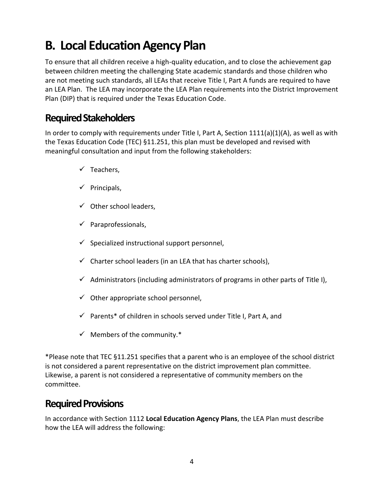## <span id="page-11-0"></span>**B. Local Education Agency Plan**

To ensure that all children receive a high-quality education, and to close the achievement gap between children meeting the challenging State academic standards and those children who are not meeting such standards, all LEAs that receive Title I, Part A funds are required to have an LEA Plan. The LEA may incorporate the LEA Plan requirements into the District Improvement Plan (DIP) that is required under the Texas Education Code.

#### <span id="page-11-1"></span>**Required Stakeholders**

In order to comply with requirements under Title I, Part A, Section  $1111(a)(1)(A)$ , as well as with the Texas Education Code (TEC) §11.251, this plan must be developed and revised with meaningful consultation and input from the following stakeholders:

- $\checkmark$  Teachers.
- $\checkmark$  Principals,
- $\checkmark$  Other school leaders,
- $\checkmark$  Paraprofessionals,
- $\checkmark$  Specialized instructional support personnel,
- $\checkmark$  Charter school leaders (in an LEA that has charter schools),
- $\checkmark$  Administrators (including administrators of programs in other parts of Title I),
- $\checkmark$  Other appropriate school personnel,
- $\checkmark$  Parents\* of children in schools served under Title I, Part A, and
- $\checkmark$  Members of the community.\*

\*Please note that TEC §11.251 specifies that a parent who is an employee of the school district is not considered a parent representative on the district improvement plan committee. Likewise, a parent is not considered a representative of community members on the committee.

#### <span id="page-11-2"></span>**Required Provisions**

In accordance with Section 1112 **Local Education Agency Plans**, the LEA Plan must describe how the LEA will address the following: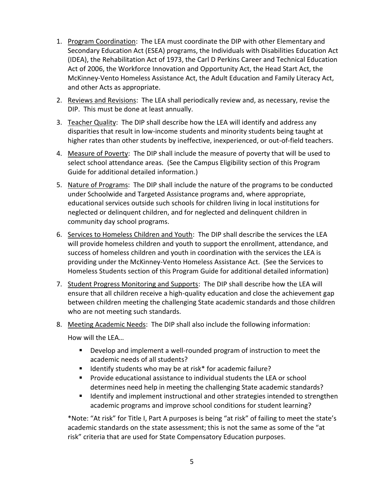- 1. Program Coordination: The LEA must coordinate the DIP with other Elementary and Secondary Education Act (ESEA) programs, the Individuals with Disabilities Education Act (IDEA), the Rehabilitation Act of 1973, the Carl D Perkins Career and Technical Education Act of 2006, the Workforce Innovation and Opportunity Act, the Head Start Act, the McKinney-Vento Homeless Assistance Act, the Adult Education and Family Literacy Act, and other Acts as appropriate.
- 2. Reviews and Revisions: The LEA shall periodically review and, as necessary, revise the DIP. This must be done at least annually.
- 3. Teacher Quality: The DIP shall describe how the LEA will identify and address any disparities that result in low-income students and minority students being taught at higher rates than other students by ineffective, inexperienced, or out-of-field teachers.
- 4. Measure of Poverty: The DIP shall include the measure of poverty that will be used to select school attendance areas. (See the Campus Eligibility section of this Program Guide for additional detailed information.)
- 5. Nature of Programs: The DIP shall include the nature of the programs to be conducted under Schoolwide and Targeted Assistance programs and, where appropriate, educational services outside such schools for children living in local institutions for neglected or delinquent children, and for neglected and delinquent children in community day school programs.
- 6. Services to Homeless Children and Youth: The DIP shall describe the services the LEA will provide homeless children and youth to support the enrollment, attendance, and success of homeless children and youth in coordination with the services the LEA is providing under the McKinney-Vento Homeless Assistance Act. (See the Services to Homeless Students section of this Program Guide for additional detailed information)
- 7. Student Progress Monitoring and Supports: The DIP shall describe how the LEA will ensure that all children receive a high-quality education and close the achievement gap between children meeting the challenging State academic standards and those children who are not meeting such standards.
- 8. Meeting Academic Needs: The DIP shall also include the following information:

How will the LEA…

- Develop and implement a well-rounded program of instruction to meet the academic needs of all students?
- Identify students who may be at risk\* for academic failure?
- Provide educational assistance to individual students the LEA or school determines need help in meeting the challenging State academic standards?
- Identify and implement instructional and other strategies intended to strengthen academic programs and improve school conditions for student learning?

\*Note: "At risk" for Title I, Part A purposes is being "at risk" of failing to meet the state's academic standards on the state assessment; this is not the same as some of the "at risk" criteria that are used for State Compensatory Education purposes.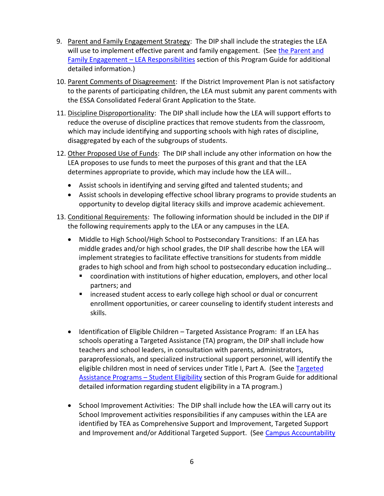- 9. Parent and Family Engagement Strategy: The DIP shall include the strategies the LEA will use to implement effective parent and family engagement. (See [the Parent and](#page-38-0)  [Family Engagement](#page-38-0) – LEA Responsibilities section of this Program Guide for additional detailed information.)
- 10. Parent Comments of Disagreement: If the District Improvement Plan is not satisfactory to the parents of participating children, the LEA must submit any parent comments with the ESSA Consolidated Federal Grant Application to the State.
- 11. Discipline Disproportionality: The DIP shall include how the LEA will support efforts to reduce the overuse of discipline practices that remove students from the classroom, which may include identifying and supporting schools with high rates of discipline, disaggregated by each of the subgroups of students.
- 12. Other Proposed Use of Funds: The DIP shall include any other information on how the LEA proposes to use funds to meet the purposes of this grant and that the LEA determines appropriate to provide, which may include how the LEA will…
	- Assist schools in identifying and serving gifted and talented students; and
	- Assist schools in developing effective school library programs to provide students an opportunity to develop digital literacy skills and improve academic achievement.
- 13. Conditional Requirements: The following information should be included in the DIP if the following requirements apply to the LEA or any campuses in the LEA.
	- Middle to High School/High School to Postsecondary Transitions: If an LEA has middle grades and/or high school grades, the DIP shall describe how the LEA will implement strategies to facilitate effective transitions for students from middle grades to high school and from high school to postsecondary education including…
		- coordination with institutions of higher education, employers, and other local partners; and
		- increased student access to early college high school or dual or concurrent enrollment opportunities, or career counseling to identify student interests and skills.
	- Identification of Eligible Children Targeted Assistance Program: If an LEA has schools operating a Targeted Assistance (TA) program, the DIP shall include how teachers and school leaders, in consultation with parents, administrators, paraprofessionals, and specialized instructional support personnel, will identify the eligible children most in need of services under Title I, Part A. (See the Targeted [Assistance Programs](#page-31-0) – Student Eligibility section of this Program Guide for additional detailed information regarding student eligibility in a TA program.)
	- School Improvement Activities: The DIP shall include how the LEA will carry out its School Improvement activities responsibilities if any campuses within the LEA are identified by TEA as Comprehensive Support and Improvement, Targeted Support and Improvement and/or Additional Targeted Support. (See Campus Accountability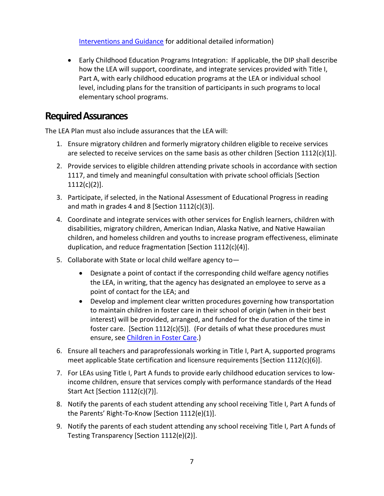[Interventions and Guidance](https://tea.texas.gov/student-testing-and-accountability/monitoring-and-interventions/program-monitoring-and-interventions-17) for additional detailed information)

• Early Childhood Education Programs Integration: If applicable, the DIP shall describe how the LEA will support, coordinate, and integrate services provided with Title I, Part A, with early childhood education programs at the LEA or individual school level, including plans for the transition of participants in such programs to local elementary school programs.

#### <span id="page-14-0"></span>**Required Assurances**

The LEA Plan must also include assurances that the LEA will:

- 1. Ensure migratory children and formerly migratory children eligible to receive services are selected to receive services on the same basis as other children [Section  $1112(c)(1)$ ].
- 2. Provide services to eligible children attending private schools in accordance with section 1117, and timely and meaningful consultation with private school officials [Section  $1112(c)(2)$ ].
- 3. Participate, if selected, in the National Assessment of Educational Progress in reading and math in grades 4 and 8 [Section 1112(c)(3)].
- 4. Coordinate and integrate services with other services for English learners, children with disabilities, migratory children, American Indian, Alaska Native, and Native Hawaiian children, and homeless children and youths to increase program effectiveness, eliminate duplication, and reduce fragmentation [Section 1112(c)(4)].
- 5. Collaborate with State or local child welfare agency to—
	- Designate a point of contact if the corresponding child welfare agency notifies the LEA, in writing, that the agency has designated an employee to serve as a point of contact for the LEA; and
	- Develop and implement clear written procedures governing how transportation to maintain children in foster care in their school of origin (when in their best interest) will be provided, arranged, and funded for the duration of the time in foster care. [Section  $1112(c)(5)$ ]. (For details of what these procedures must ensure, see [Children in Foster Care.](#page-35-2))
- 6. Ensure all teachers and paraprofessionals working in Title I, Part A, supported programs meet applicable State certification and licensure requirements [Section  $1112(c)(6)$ ].
- 7. For LEAs using Title I, Part A funds to provide early childhood education services to lowincome children, ensure that services comply with performance standards of the Head Start Act [Section 1112(c)(7)].
- 8. Notify the parents of each student attending any school receiving Title I, Part A funds of the Parents' Right-To-Know [Section 1112(e)(1)].
- 9. Notify the parents of each student attending any school receiving Title I, Part A funds of Testing Transparency [Section 1112(e)(2)].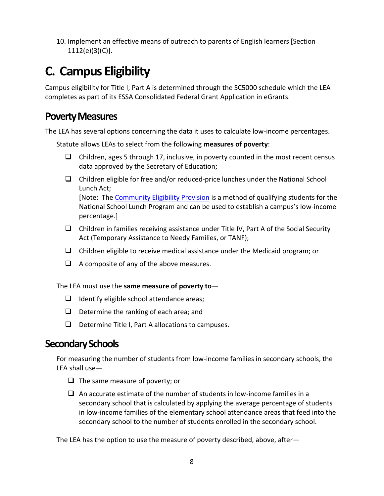10. Implement an effective means of outreach to parents of English learners [Section 1112(e)(3)(C)].

## <span id="page-15-0"></span>**C. Campus Eligibility**

Campus eligibility for Title I, Part A is determined through the SC5000 schedule which the LEA completes as part of its ESSA Consolidated Federal Grant Application in eGrants.

#### <span id="page-15-1"></span>**Poverty Measures**

The LEA has several options concerning the data it uses to calculate low-income percentages.

Statute allows LEAs to select from the following **measures of poverty**:

- $\Box$  Children, ages 5 through 17, inclusive, in poverty counted in the most recent census data approved by the Secretary of Education;
- $\Box$  Children eligible for free and/or reduced-price lunches under the National School Lunch Act; [Note: The [Community Eligibility Provision](#page-18-3) is a method of qualifying students for the National School Lunch Program and can be used to establish a campus's low-income percentage.]
- ❑ Children in families receiving assistance under Title IV, Part A of the Social Security Act (Temporary Assistance to Needy Families, or TANF);
- $\Box$  Children eligible to receive medical assistance under the Medicaid program; or
- ❑ A composite of any of the above measures.

The LEA must use the **same measure of poverty to**—

- ❑ Identify eligible school attendance areas;
- ❑ Determine the ranking of each area; and
- ❑ Determine Title I, Part A allocations to campuses.

#### <span id="page-15-2"></span>**Secondary Schools**

For measuring the number of students from low-income families in secondary schools, the LEA shall use—

- ❑ The same measure of poverty; or
- ❑ An accurate estimate of the number of students in low-income families in a secondary school that is calculated by applying the average percentage of students in low-income families of the elementary school attendance areas that feed into the secondary school to the number of students enrolled in the secondary school.

The LEA has the option to use the measure of poverty described, above, after—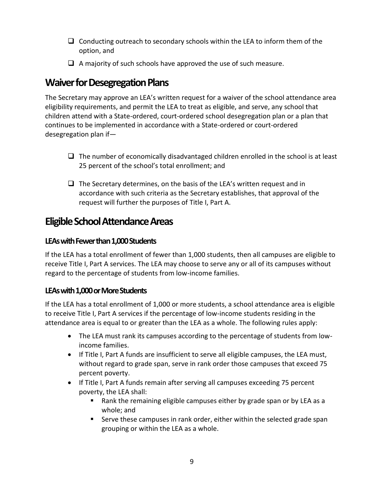- ❑ Conducting outreach to secondary schools within the LEA to inform them of the option, and
- $\Box$  A majority of such schools have approved the use of such measure.

### <span id="page-16-0"></span>**Waiver for Desegregation Plans**

The Secretary may approve an LEA's written request for a waiver of the school attendance area eligibility requirements, and permit the LEA to treat as eligible, and serve, any school that children attend with a State-ordered, court-ordered school desegregation plan or a plan that continues to be implemented in accordance with a State-ordered or court-ordered desegregation plan if—

- $\Box$  The number of economically disadvantaged children enrolled in the school is at least 25 percent of the school's total enrollment; and
- $\Box$  The Secretary determines, on the basis of the LEA's written request and in accordance with such criteria as the Secretary establishes, that approval of the request will further the purposes of Title I, Part A.

### <span id="page-16-1"></span>**Eligible School Attendance Areas**

#### <span id="page-16-2"></span>**LEAs with Fewer than 1,000 Students**

If the LEA has a total enrollment of fewer than 1,000 students, then all campuses are eligible to receive Title I, Part A services. The LEA may choose to serve any or all of its campuses without regard to the percentage of students from low-income families.

#### <span id="page-16-3"></span>LEAs with 1,000 or More Students

If the LEA has a total enrollment of 1,000 or more students, a school attendance area is eligible to receive Title I, Part A services if the percentage of low-income students residing in the attendance area is equal to or greater than the LEA as a whole. The following rules apply:

- The LEA must rank its campuses according to the percentage of students from lowincome families.
- If Title I, Part A funds are insufficient to serve all eligible campuses, the LEA must, without regard to grade span, serve in rank order those campuses that exceed 75 percent poverty.
- If Title I, Part A funds remain after serving all campuses exceeding 75 percent poverty, the LEA shall:
	- Rank the remaining eligible campuses either by grade span or by LEA as a whole; and
	- Serve these campuses in rank order, either within the selected grade span grouping or within the LEA as a whole.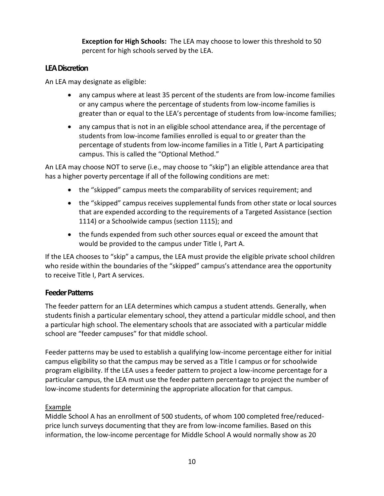**Exception for High Schools:** The LEA may choose to lower this threshold to 50 percent for high schools served by the LEA.

#### <span id="page-17-0"></span>**LEA Discretion**

An LEA may designate as eligible:

- any campus where at least 35 percent of the students are from low-income families or any campus where the percentage of students from low-income families is greater than or equal to the LEA's percentage of students from low-income families;
- any campus that is not in an eligible school attendance area, if the percentage of students from low-income families enrolled is equal to or greater than the percentage of students from low-income families in a Title I, Part A participating campus. This is called the "Optional Method."

An LEA may choose NOT to serve (i.e., may choose to "skip") an eligible attendance area that has a higher poverty percentage if all of the following conditions are met:

- the "skipped" campus meets the comparability of services requirement; and
- the "skipped" campus receives supplemental funds from other state or local sources that are expended according to the requirements of a Targeted Assistance (section 1114) or a Schoolwide campus (section 1115); and
- the funds expended from such other sources equal or exceed the amount that would be provided to the campus under Title I, Part A.

If the LEA chooses to "skip" a campus, the LEA must provide the eligible private school children who reside within the boundaries of the "skipped" campus's attendance area the opportunity to receive Title I, Part A services.

#### <span id="page-17-1"></span>**Feeder Patterns**

The feeder pattern for an LEA determines which campus a student attends. Generally, when students finish a particular elementary school, they attend a particular middle school, and then a particular high school. The elementary schools that are associated with a particular middle school are "feeder campuses" for that middle school.

Feeder patterns may be used to establish a qualifying low-income percentage either for initial campus eligibility so that the campus may be served as a Title I campus or for schoolwide program eligibility. If the LEA uses a feeder pattern to project a low-income percentage for a particular campus, the LEA must use the feeder pattern percentage to project the number of low-income students for determining the appropriate allocation for that campus.

#### Example

Middle School A has an enrollment of 500 students, of whom 100 completed free/reducedprice lunch surveys documenting that they are from low-income families. Based on this information, the low-income percentage for Middle School A would normally show as 20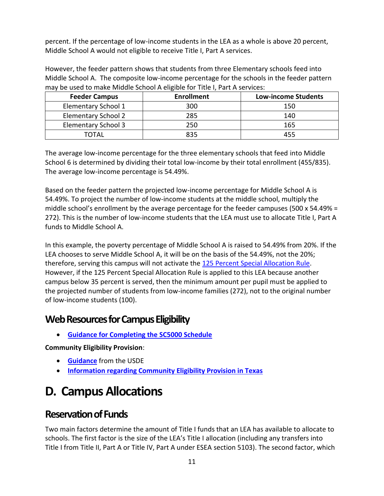percent. If the percentage of low-income students in the LEA as a whole is above 20 percent, Middle School A would not eligible to receive Title I, Part A services.

However, the feeder pattern shows that students from three Elementary schools feed into Middle School A. The composite low-income percentage for the schools in the feeder pattern may be used to make Middle School A eligible for Title I, Part A services:

| <b>Feeder Campus</b>       | <b>Enrollment</b> | <b>Low-income Students</b> |
|----------------------------|-------------------|----------------------------|
| Elementary School 1        | 300               | 150                        |
| Elementary School 2        | 285               | 140                        |
| <b>Elementary School 3</b> | 250               | 165                        |
| ΤΩΤΑΙ                      | 835               | 455                        |

The average low-income percentage for the three elementary schools that feed into Middle School 6 is determined by dividing their total low-income by their total enrollment (455/835). The average low-income percentage is 54.49%.

Based on the feeder pattern the projected low-income percentage for Middle School A is 54.49%. To project the number of low-income students at the middle school, multiply the middle school's enrollment by the average percentage for the feeder campuses (500 x 54.49% = 272). This is the number of low-income students that the LEA must use to allocate Title I, Part A funds to Middle School A.

In this example, the poverty percentage of Middle School A is raised to 54.49% from 20%. If the LEA chooses to serve Middle School A, it will be on the basis of the 54.49%, not the 20%; therefore, serving this campus will not activate the [125 Percent Special Allocation Rule.](#page-21-0) However, if the 125 Percent Special Allocation Rule is applied to this LEA because another campus below 35 percent is served, then the minimum amount per pupil must be applied to the projected number of students from low-income families (272), not to the original number of low-income students (100).

#### <span id="page-18-0"></span>**Web Resources for Campus Eligibility**

<span id="page-18-3"></span>• **[Guidance for Completing the SC5000 Schedule](https://tea4avcastro.tea.state.tx.us/eGrants/21-22/genfiles/SC5000Guidance.pdf)**

**Community Eligibility Provision**:

- **[Guidance](https://www2.ed.gov/programs/titleiparta/15-0011.doc)** from the USDE
- **[Information regarding Community Eligibility Provision in Texas](https://tea.texas.gov/Finance_and_Grants/Grants/essa-program/Community_Eligibility_Provision)**

## <span id="page-18-1"></span>**D. Campus Allocations**

### <span id="page-18-2"></span>**Reservation of Funds**

Two main factors determine the amount of Title I funds that an LEA has available to allocate to schools. The first factor is the size of the LEA's Title I allocation (including any transfers into Title I from Title II, Part A or Title IV, Part A under ESEA section 5103). The second factor, which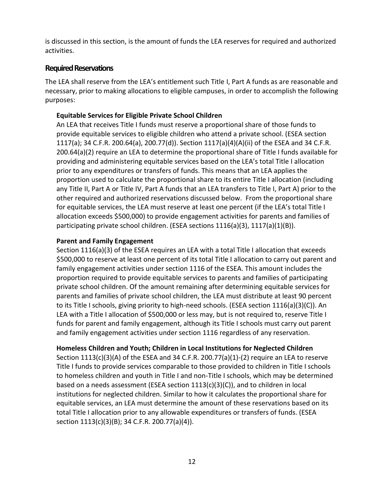is discussed in this section, is the amount of funds the LEA reserves for required and authorized activities.

#### <span id="page-19-0"></span>**Required Reservations**

The LEA shall reserve from the LEA's entitlement such Title I, Part A funds as are reasonable and necessary, prior to making allocations to eligible campuses, in order to accomplish the following purposes:

#### **Equitable Services for Eligible Private School Children**

An LEA that receives Title I funds must reserve a proportional share of those funds to provide equitable services to eligible children who attend a private school. (ESEA section 1117(a); 34 C.F.R. 200.64(a), 200.77(d)). Section 1117(a)(4)(A)(ii) of the ESEA and 34 C.F.R. 200.64(a)(2) require an LEA to determine the proportional share of Title I funds available for providing and administering equitable services based on the LEA's total Title I allocation prior to any expenditures or transfers of funds. This means that an LEA applies the proportion used to calculate the proportional share to its entire Title I allocation (including any Title II, Part A or Title IV, Part A funds that an LEA transfers to Title I, Part A) prior to the other required and authorized reservations discussed below. From the proportional share for equitable services, the LEA must reserve at least one percent (if the LEA's total Title I allocation exceeds \$500,000) to provide engagement activities for parents and families of participating private school children. (ESEA sections  $1116(a)(3)$ ,  $1117(a)(1)(B)$ ).

#### **Parent and Family Engagement**

Section 1116(a)(3) of the ESEA requires an LEA with a total Title I allocation that exceeds \$500,000 to reserve at least one percent of its total Title I allocation to carry out parent and family engagement activities under section 1116 of the ESEA. This amount includes the proportion required to provide equitable services to parents and families of participating private school children. Of the amount remaining after determining equitable services for parents and families of private school children, the LEA must distribute at least 90 percent to its Title I schools, giving priority to high-need schools. (ESEA section 1116(a)(3)(C)). An LEA with a Title I allocation of \$500,000 or less may, but is not required to, reserve Title I funds for parent and family engagement, although its Title I schools must carry out parent and family engagement activities under section 1116 regardless of any reservation.

#### **Homeless Children and Youth; Children in Local Institutions for Neglected Children**

Section  $1113(c)(3)(A)$  of the ESEA and 34 C.F.R. 200.77(a)(1)-(2) require an LEA to reserve Title I funds to provide services comparable to those provided to children in Title I schools to homeless children and youth in Title I and non-Title I schools, which may be determined based on a needs assessment (ESEA section  $1113(c)(3)(c)$ ), and to children in local institutions for neglected children. Similar to how it calculates the proportional share for equitable services, an LEA must determine the amount of these reservations based on its total Title I allocation prior to any allowable expenditures or transfers of funds. (ESEA section 1113(c)(3)(B); 34 C.F.R. 200.77(a)(4)).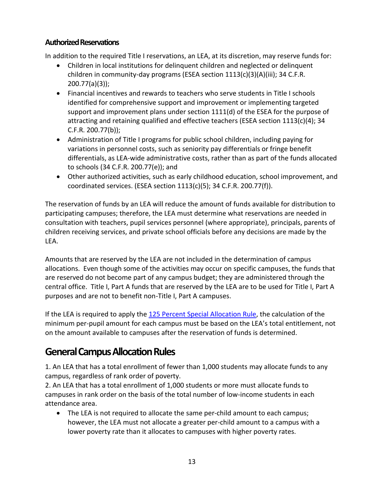#### <span id="page-20-0"></span>**Authorized Reservations**

In addition to the required Title I reservations, an LEA, at its discretion, may reserve funds for:

- Children in local institutions for delinquent children and neglected or delinquent children in community-day programs (ESEA section 1113(c)(3)(A)(iii); 34 C.F.R. 200.77(a)(3));
- Financial incentives and rewards to teachers who serve students in Title I schools identified for comprehensive support and improvement or implementing targeted support and improvement plans under section 1111(d) of the ESEA for the purpose of attracting and retaining qualified and effective teachers (ESEA section 1113(c)(4); 34 C.F.R. 200.77(b));
- Administration of Title I programs for public school children, including paying for variations in personnel costs, such as seniority pay differentials or fringe benefit differentials, as LEA-wide administrative costs, rather than as part of the funds allocated to schools (34 C.F.R. 200.77(e)); and
- Other authorized activities, such as early childhood education, school improvement, and coordinated services. (ESEA section 1113(c)(5); 34 C.F.R. 200.77(f)).

The reservation of funds by an LEA will reduce the amount of funds available for distribution to participating campuses; therefore, the LEA must determine what reservations are needed in consultation with teachers, pupil services personnel (where appropriate), principals, parents of children receiving services, and private school officials before any decisions are made by the LEA.

Amounts that are reserved by the LEA are not included in the determination of campus allocations. Even though some of the activities may occur on specific campuses, the funds that are reserved do not become part of any campus budget; they are administered through the central office. Title I, Part A funds that are reserved by the LEA are to be used for Title I, Part A purposes and are not to benefit non-Title I, Part A campuses.

If the LEA is required to apply the [125 Percent Special Allocation Rule,](#page-21-0) the calculation of the minimum per-pupil amount for each campus must be based on the LEA's total entitlement, not on the amount available to campuses after the reservation of funds is determined.

### <span id="page-20-1"></span>**General Campus Allocation Rules**

1. An LEA that has a total enrollment of fewer than 1,000 students may allocate funds to any campus, regardless of rank order of poverty.

2. An LEA that has a total enrollment of 1,000 students or more must allocate funds to campuses in rank order on the basis of the total number of low-income students in each attendance area.

• The LEA is not required to allocate the same per-child amount to each campus; however, the LEA must not allocate a greater per-child amount to a campus with a lower poverty rate than it allocates to campuses with higher poverty rates.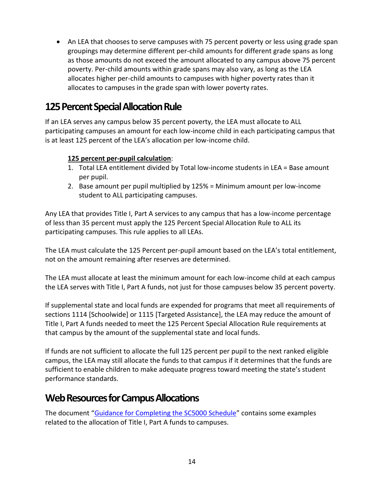• An LEA that chooses to serve campuses with 75 percent poverty or less using grade span groupings may determine different per-child amounts for different grade spans as long as those amounts do not exceed the amount allocated to any campus above 75 percent poverty. Per-child amounts within grade spans may also vary, as long as the LEA allocates higher per-child amounts to campuses with higher poverty rates than it allocates to campuses in the grade span with lower poverty rates.

### <span id="page-21-0"></span>**125 Percent Special Allocation Rule**

If an LEA serves any campus below 35 percent poverty, the LEA must allocate to ALL participating campuses an amount for each low-income child in each participating campus that is at least 125 percent of the LEA's allocation per low-income child.

#### **125 percent per-pupil calculation**:

- 1. Total LEA entitlement divided by Total low-income students in LEA = Base amount per pupil.
- 2. Base amount per pupil multiplied by 125% = Minimum amount per low-income student to ALL participating campuses.

Any LEA that provides Title I, Part A services to any campus that has a low-income percentage of less than 35 percent must apply the 125 Percent Special Allocation Rule to ALL its participating campuses. This rule applies to all LEAs.

The LEA must calculate the 125 Percent per-pupil amount based on the LEA's total entitlement, not on the amount remaining after reserves are determined.

The LEA must allocate at least the minimum amount for each low-income child at each campus the LEA serves with Title I, Part A funds, not just for those campuses below 35 percent poverty.

If supplemental state and local funds are expended for programs that meet all requirements of sections 1114 [Schoolwide] or 1115 [Targeted Assistance], the LEA may reduce the amount of Title I, Part A funds needed to meet the 125 Percent Special Allocation Rule requirements at that campus by the amount of the supplemental state and local funds.

If funds are not sufficient to allocate the full 125 percent per pupil to the next ranked eligible campus, the LEA may still allocate the funds to that campus if it determines that the funds are sufficient to enable children to make adequate progress toward meeting the state's student performance standards.

#### <span id="page-21-1"></span>**Web Resourcesfor Campus Allocations**

The document "[Guidance for Completing the SC5000 Schedule](https://tea4avcastro.tea.state.tx.us/eGrants/21-22/genfiles/SC5000Guidance.pdf)" contains some examples related to the allocation of Title I, Part A funds to campuses.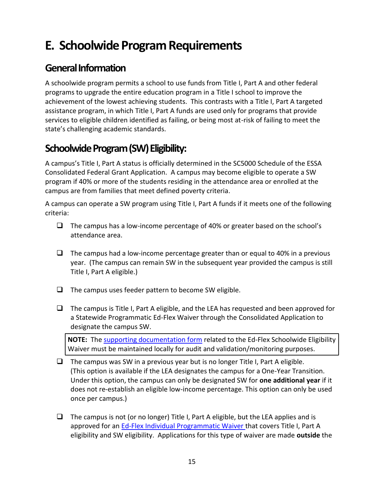### <span id="page-22-0"></span>**E. Schoolwide Program Requirements**

#### <span id="page-22-1"></span>**General Information**

A schoolwide program permits a school to use funds from Title I, Part A and other federal programs to upgrade the entire education program in a Title I school to improve the achievement of the lowest achieving students. This contrasts with a Title I, Part A targeted assistance program, in which Title I, Part A funds are used only for programs that provide services to eligible children identified as failing, or being most at-risk of failing to meet the state's challenging academic standards.

### <span id="page-22-2"></span>**Schoolwide Program (SW) Eligibility:**

A campus's Title I, Part A status is officially determined in the SC5000 Schedule of the ESSA Consolidated Federal Grant Application. A campus may become eligible to operate a SW program if 40% or more of the students residing in the attendance area or enrolled at the campus are from families that meet defined poverty criteria.

A campus can operate a SW program using Title I, Part A funds if it meets one of the following criteria:

- ❑ The campus has a low-income percentage of 40% or greater based on the school's attendance area.
- ❑ The campus had a low-income percentage greater than or equal to 40% in a previous year. (The campus can remain SW in the subsequent year provided the campus is still Title I, Part A eligible.)
- $\Box$  The campus uses feeder pattern to become SW eligible.
- $\Box$  The campus is Title I, Part A eligible, and the LEA has requested and been approved for a Statewide Programmatic Ed-Flex Waiver through the Consolidated Application to designate the campus SW.

**NOTE:** The [supporting documentation form](https://tea.texas.gov/sites/default/files/EDFLEXSWWVRDOC.docx) related to the Ed-Flex Schoolwide Eligibility Waiver must be maintained locally for audit and validation/monitoring purposes.

- $\Box$  The campus was SW in a previous year but is no longer Title I, Part A eligible. (This option is available if the LEA designates the campus for a One-Year Transition. Under this option, the campus can only be designated SW for **one additional year** if it does not re-establish an eligible low-income percentage. This option can only be used once per campus.)
- ❑ The campus is not (or no longer) Title I, Part A eligible, but the LEA applies and is approved for an [Ed-Flex Individual Programmatic Waiver](https://tea.texas.gov/Finance_and_Grants/Grants/Ed-Flex_Waivers/) that covers Title I, Part A eligibility and SW eligibility. Applications for this type of waiver are made **outside** the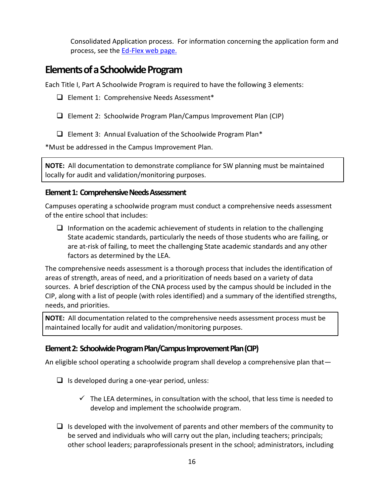Consolidated Application process. For information concerning the application form and process, see the [Ed-Flex web](https://tea.texas.gov/Finance_and_Grants/Grants/Ed-Flex_Waivers/) page.

#### <span id="page-23-0"></span>**Elements of a Schoolwide Program**

Each Title I, Part A Schoolwide Program is required to have the following 3 elements:

- ❑ Element 1: Comprehensive Needs Assessment\*
- ❑ Element 2: Schoolwide Program Plan/Campus Improvement Plan (CIP)
- ❑ Element 3: Annual Evaluation of the Schoolwide Program Plan\*

\*Must be addressed in the Campus Improvement Plan.

**NOTE:** All documentation to demonstrate compliance for SW planning must be maintained locally for audit and validation/monitoring purposes.

#### <span id="page-23-1"></span>**Element 1: Comprehensive Needs Assessment**

Campuses operating a schoolwide program must conduct a comprehensive needs assessment of the entire school that includes:

 $\Box$  Information on the academic achievement of students in relation to the challenging State academic standards, particularly the needs of those students who are failing, or are at-risk of failing, to meet the challenging State academic standards and any other factors as determined by the LEA.

The comprehensive needs assessment is a thorough process that includes the identification of areas of strength, areas of need, and a prioritization of needs based on a variety of data sources. A brief description of the CNA process used by the campus should be included in the CIP, along with a list of people (with roles identified) and a summary of the identified strengths, needs, and priorities.

**NOTE:** All documentation related to the comprehensive needs assessment process must be maintained locally for audit and validation/monitoring purposes.

#### <span id="page-23-2"></span>**Element 2: Schoolwide Program Plan/Campus Improvement Plan (CIP)**

An eligible school operating a schoolwide program shall develop a comprehensive plan that—

- $\Box$  Is developed during a one-year period, unless:
	- $\checkmark$  The LEA determines, in consultation with the school, that less time is needed to develop and implement the schoolwide program.
- $\Box$  Is developed with the involvement of parents and other members of the community to be served and individuals who will carry out the plan, including teachers; principals; other school leaders; paraprofessionals present in the school; administrators, including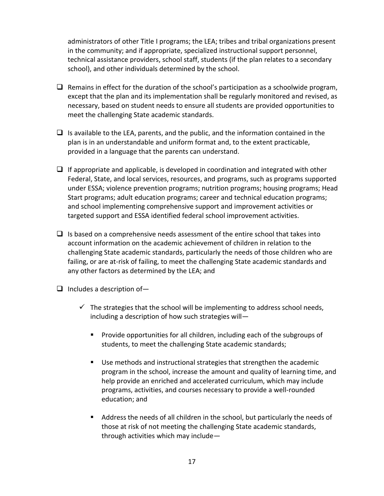administrators of other Title I programs; the LEA; tribes and tribal organizations present in the community; and if appropriate, specialized instructional support personnel, technical assistance providers, school staff, students (if the plan relates to a secondary school), and other individuals determined by the school.

- $\Box$  Remains in effect for the duration of the school's participation as a schoolwide program, except that the plan and its implementation shall be regularly monitored and revised, as necessary, based on student needs to ensure all students are provided opportunities to meet the challenging State academic standards.
- $\Box$  Is available to the LEA, parents, and the public, and the information contained in the plan is in an understandable and uniform format and, to the extent practicable, provided in a language that the parents can understand.
- $\Box$  If appropriate and applicable, is developed in coordination and integrated with other Federal, State, and local services, resources, and programs, such as programs supported under ESSA; violence prevention programs; nutrition programs; housing programs; Head Start programs; adult education programs; career and technical education programs; and school implementing comprehensive support and improvement activities or targeted support and ESSA identified federal school improvement activities.
- $\Box$  Is based on a comprehensive needs assessment of the entire school that takes into account information on the academic achievement of children in relation to the challenging State academic standards, particularly the needs of those children who are failing, or are at-risk of failing, to meet the challenging State academic standards and any other factors as determined by the LEA; and
- $\Box$  Includes a description of-
	- $\checkmark$  The strategies that the school will be implementing to address school needs, including a description of how such strategies will—
		- Provide opportunities for all children, including each of the subgroups of students, to meet the challenging State academic standards;
		- Use methods and instructional strategies that strengthen the academic program in the school, increase the amount and quality of learning time, and help provide an enriched and accelerated curriculum, which may include programs, activities, and courses necessary to provide a well-rounded education; and
		- Address the needs of all children in the school, but particularly the needs of those at risk of not meeting the challenging State academic standards, through activities which may include—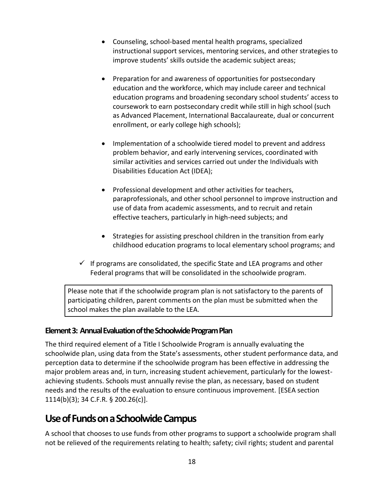- Counseling, school-based mental health programs, specialized instructional support services, mentoring services, and other strategies to improve students' skills outside the academic subject areas;
- Preparation for and awareness of opportunities for postsecondary education and the workforce, which may include career and technical education programs and broadening secondary school students' access to coursework to earn postsecondary credit while still in high school (such as Advanced Placement, International Baccalaureate, dual or concurrent enrollment, or early college high schools);
- Implementation of a schoolwide tiered model to prevent and address problem behavior, and early intervening services, coordinated with similar activities and services carried out under the Individuals with Disabilities Education Act (IDEA);
- Professional development and other activities for teachers, paraprofessionals, and other school personnel to improve instruction and use of data from academic assessments, and to recruit and retain effective teachers, particularly in high-need subjects; and
- Strategies for assisting preschool children in the transition from early childhood education programs to local elementary school programs; and
- $\checkmark$  If programs are consolidated, the specific State and LEA programs and other Federal programs that will be consolidated in the schoolwide program.

Please note that if the schoolwide program plan is not satisfactory to the parents of participating children, parent comments on the plan must be submitted when the school makes the plan available to the LEA.

#### <span id="page-25-0"></span>**Element 3: Annual Evaluation of the Schoolwide Program Plan**

The third required element of a Title I Schoolwide Program is annually evaluating the schoolwide plan, using data from the State's assessments, other student performance data, and perception data to determine if the schoolwide program has been effective in addressing the major problem areas and, in turn, increasing student achievement, particularly for the lowestachieving students. Schools must annually revise the plan, as necessary, based on student needs and the results of the evaluation to ensure continuous improvement. [ESEA section 1114(b)(3); 34 C.F.R. § 200.26(c)].

#### <span id="page-25-1"></span>**Use of Funds on a Schoolwide Campus**

A school that chooses to use funds from other programs to support a schoolwide program shall not be relieved of the requirements relating to health; safety; civil rights; student and parental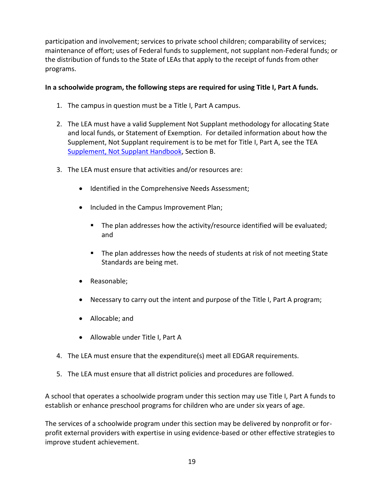participation and involvement; services to private school children; comparability of services; maintenance of effort; uses of Federal funds to supplement, not supplant non-Federal funds; or the distribution of funds to the State of LEAs that apply to the receipt of funds from other programs.

#### **In a schoolwide program, the following steps are required for using Title I, Part A funds.**

- 1. The campus in question must be a Title I, Part A campus.
- 2. The LEA must have a valid Supplement Not Supplant methodology for allocating State and local funds, or Statement of Exemption. For detailed information about how the Supplement, Not Supplant requirement is to be met for Title I, Part A, see the TEA [Supplement, Not Supplant Handbook,](https://tea.texas.gov/sites/default/files/SNS%20Handbook_4.0--revised%209-5-2019.pdf) Section B.
- 3. The LEA must ensure that activities and/or resources are:
	- Identified in the Comprehensive Needs Assessment;
	- Included in the Campus Improvement Plan;
		- The plan addresses how the activity/resource identified will be evaluated; and
		- The plan addresses how the needs of students at risk of not meeting State Standards are being met.
	- Reasonable;
	- Necessary to carry out the intent and purpose of the Title I, Part A program;
	- Allocable; and
	- Allowable under Title I, Part A
- 4. The LEA must ensure that the expenditure(s) meet all EDGAR requirements.
- 5. The LEA must ensure that all district policies and procedures are followed.

A school that operates a schoolwide program under this section may use Title I, Part A funds to establish or enhance preschool programs for children who are under six years of age.

The services of a schoolwide program under this section may be delivered by nonprofit or forprofit external providers with expertise in using evidence-based or other effective strategies to improve student achievement.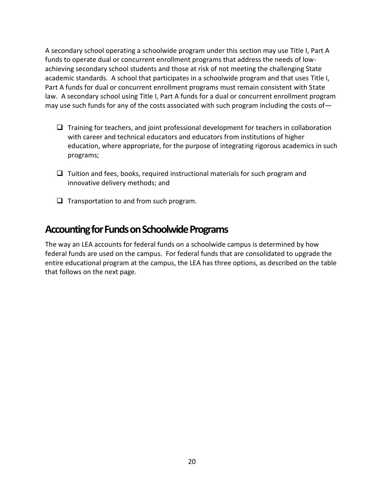A secondary school operating a schoolwide program under this section may use Title I, Part A funds to operate dual or concurrent enrollment programs that address the needs of lowachieving secondary school students and those at risk of not meeting the challenging State academic standards. A school that participates in a schoolwide program and that uses Title I, Part A funds for dual or concurrent enrollment programs must remain consistent with State law. A secondary school using Title I, Part A funds for a dual or concurrent enrollment program may use such funds for any of the costs associated with such program including the costs of—

- ❑ Training for teachers, and joint professional development for teachers in collaboration with career and technical educators and educators from institutions of higher education, where appropriate, for the purpose of integrating rigorous academics in such programs;
- ❑ Tuition and fees, books, required instructional materials for such program and innovative delivery methods; and
- ❑ Transportation to and from such program.

#### <span id="page-27-0"></span>**Accounting for Funds on Schoolwide Programs**

The way an LEA accounts for federal funds on a schoolwide campus is determined by how federal funds are used on the campus. For federal funds that are consolidated to upgrade the entire educational program at the campus, the LEA has three options, as described on the table that follows on the next page.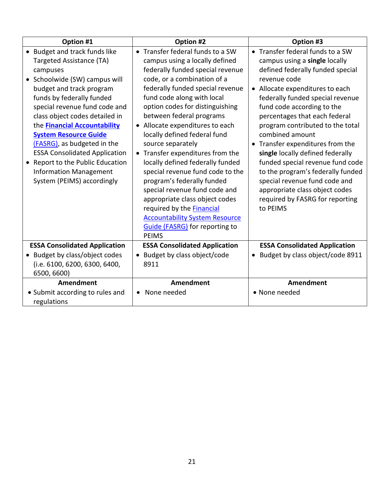| Option #1                                                                                                                                                                                                                                                                                                                                                                                                                                                                         | Option #2                                                                                                                                                                                                                                                                                                                                                                                                                                                                                                                                                                                                                                                                                  | Option #3                                                                                                                                                                                                                                                                                                                                                                                                                                                                                                                                                                             |
|-----------------------------------------------------------------------------------------------------------------------------------------------------------------------------------------------------------------------------------------------------------------------------------------------------------------------------------------------------------------------------------------------------------------------------------------------------------------------------------|--------------------------------------------------------------------------------------------------------------------------------------------------------------------------------------------------------------------------------------------------------------------------------------------------------------------------------------------------------------------------------------------------------------------------------------------------------------------------------------------------------------------------------------------------------------------------------------------------------------------------------------------------------------------------------------------|---------------------------------------------------------------------------------------------------------------------------------------------------------------------------------------------------------------------------------------------------------------------------------------------------------------------------------------------------------------------------------------------------------------------------------------------------------------------------------------------------------------------------------------------------------------------------------------|
| • Budget and track funds like<br>Targeted Assistance (TA)<br>campuses<br>• Schoolwide (SW) campus will<br>budget and track program<br>funds by federally funded<br>special revenue fund code and<br>class object codes detailed in<br>the <b>Financial Accountability</b><br><b>System Resource Guide</b><br>(FASRG), as budgeted in the<br><b>ESSA Consolidated Application</b><br>Report to the Public Education<br><b>Information Management</b><br>System (PEIMS) accordingly | • Transfer federal funds to a SW<br>campus using a locally defined<br>federally funded special revenue<br>code, or a combination of a<br>federally funded special revenue<br>fund code along with local<br>option codes for distinguishing<br>between federal programs<br>• Allocate expenditures to each<br>locally defined federal fund<br>source separately<br>• Transfer expenditures from the<br>locally defined federally funded<br>special revenue fund code to the<br>program's federally funded<br>special revenue fund code and<br>appropriate class object codes<br>required by the Financial<br><b>Accountability System Resource</b><br><b>Guide (FASRG)</b> for reporting to | • Transfer federal funds to a SW<br>campus using a single locally<br>defined federally funded special<br>revenue code<br>• Allocate expenditures to each<br>federally funded special revenue<br>fund code according to the<br>percentages that each federal<br>program contributed to the total<br>combined amount<br>• Transfer expenditures from the<br>single locally defined federally<br>funded special revenue fund code<br>to the program's federally funded<br>special revenue fund code and<br>appropriate class object codes<br>required by FASRG for reporting<br>to PEIMS |
| <b>ESSA Consolidated Application</b>                                                                                                                                                                                                                                                                                                                                                                                                                                              | <b>PEIMS</b><br><b>ESSA Consolidated Application</b>                                                                                                                                                                                                                                                                                                                                                                                                                                                                                                                                                                                                                                       | <b>ESSA Consolidated Application</b>                                                                                                                                                                                                                                                                                                                                                                                                                                                                                                                                                  |
| • Budget by class/object codes<br>(i.e. 6100, 6200, 6300, 6400,<br>6500, 6600)                                                                                                                                                                                                                                                                                                                                                                                                    | • Budget by class object/code<br>8911                                                                                                                                                                                                                                                                                                                                                                                                                                                                                                                                                                                                                                                      | Budget by class object/code 8911                                                                                                                                                                                                                                                                                                                                                                                                                                                                                                                                                      |
| <b>Amendment</b><br>• Submit according to rules and<br>regulations                                                                                                                                                                                                                                                                                                                                                                                                                | <b>Amendment</b><br>None needed                                                                                                                                                                                                                                                                                                                                                                                                                                                                                                                                                                                                                                                            | <b>Amendment</b><br>• None needed                                                                                                                                                                                                                                                                                                                                                                                                                                                                                                                                                     |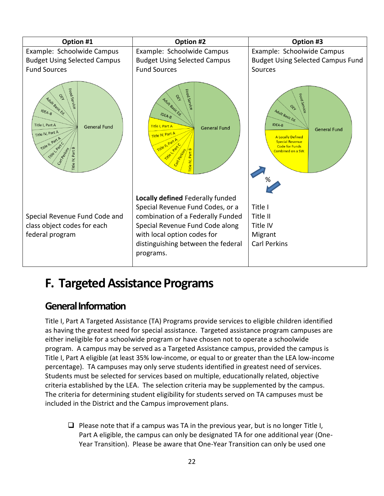

### <span id="page-29-0"></span>**F. Targeted Assistance Programs**

#### <span id="page-29-1"></span>**General Information**

Title I, Part A Targeted Assistance (TA) Programs provide services to eligible children identified as having the greatest need for special assistance. Targeted assistance program campuses are either ineligible for a schoolwide program or have chosen not to operate a schoolwide program. A campus may be served as a Targeted Assistance campus, provided the campus is Title I, Part A eligible (at least 35% low-income, or equal to or greater than the LEA low-income percentage). TA campuses may only serve students identified in greatest need of services. Students must be selected for services based on multiple, educationally related, objective criteria established by the LEA. The selection criteria may be supplemented by the campus. The criteria for determining student eligibility for students served on TA campuses must be included in the District and the Campus improvement plans.

 $\Box$  Please note that if a campus was TA in the previous year, but is no longer Title I, Part A eligible, the campus can only be designated TA for one additional year (One-Year Transition). Please be aware that One-Year Transition can only be used one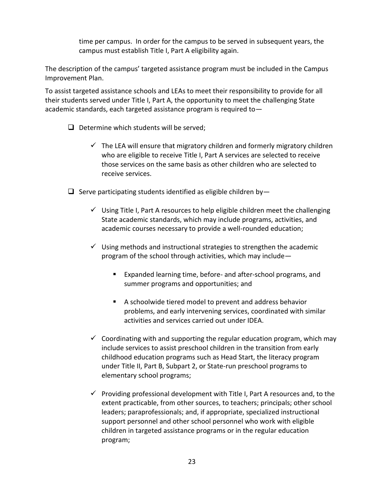time per campus. In order for the campus to be served in subsequent years, the campus must establish Title I, Part A eligibility again.

The description of the campus' targeted assistance program must be included in the Campus Improvement Plan.

To assist targeted assistance schools and LEAs to meet their responsibility to provide for all their students served under Title I, Part A, the opportunity to meet the challenging State academic standards, each targeted assistance program is required to—

- ❑ Determine which students will be served;
	- $\checkmark$  The LEA will ensure that migratory children and formerly migratory children who are eligible to receive Title I, Part A services are selected to receive those services on the same basis as other children who are selected to receive services.
- $\Box$  Serve participating students identified as eligible children by-
	- $\checkmark$  Using Title I, Part A resources to help eligible children meet the challenging State academic standards, which may include programs, activities, and academic courses necessary to provide a well-rounded education;
	- $\checkmark$  Using methods and instructional strategies to strengthen the academic program of the school through activities, which may include—
		- Expanded learning time, before- and after-school programs, and summer programs and opportunities; and
		- A schoolwide tiered model to prevent and address behavior problems, and early intervening services, coordinated with similar activities and services carried out under IDEA.
	- $\checkmark$  Coordinating with and supporting the regular education program, which may include services to assist preschool children in the transition from early childhood education programs such as Head Start, the literacy program under Title II, Part B, Subpart 2, or State-run preschool programs to elementary school programs;
	- $\checkmark$  Providing professional development with Title I, Part A resources and, to the extent practicable, from other sources, to teachers; principals; other school leaders; paraprofessionals; and, if appropriate, specialized instructional support personnel and other school personnel who work with eligible children in targeted assistance programs or in the regular education program;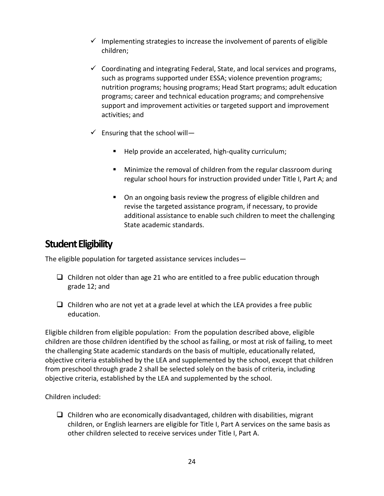- $\checkmark$  Implementing strategies to increase the involvement of parents of eligible children;
- $\checkmark$  Coordinating and integrating Federal, State, and local services and programs, such as programs supported under ESSA; violence prevention programs; nutrition programs; housing programs; Head Start programs; adult education programs; career and technical education programs; and comprehensive support and improvement activities or targeted support and improvement activities; and
- $\checkmark$  Ensuring that the school will-
	- Help provide an accelerated, high-quality curriculum;
	- Minimize the removal of children from the regular classroom during regular school hours for instruction provided under Title I, Part A; and
	- On an ongoing basis review the progress of eligible children and revise the targeted assistance program, if necessary, to provide additional assistance to enable such children to meet the challenging State academic standards.

#### <span id="page-31-0"></span>**Student Eligibility**

The eligible population for targeted assistance services includes—

- $\Box$  Children not older than age 21 who are entitled to a free public education through grade 12; and
- $\Box$  Children who are not yet at a grade level at which the LEA provides a free public education.

Eligible children from eligible population: From the population described above, eligible children are those children identified by the school as failing, or most at risk of failing, to meet the challenging State academic standards on the basis of multiple, educationally related, objective criteria established by the LEA and supplemented by the school, except that children from preschool through grade 2 shall be selected solely on the basis of criteria, including objective criteria, established by the LEA and supplemented by the school.

Children included:

 $\Box$  Children who are economically disadvantaged, children with disabilities, migrant children, or English learners are eligible for Title I, Part A services on the same basis as other children selected to receive services under Title I, Part A.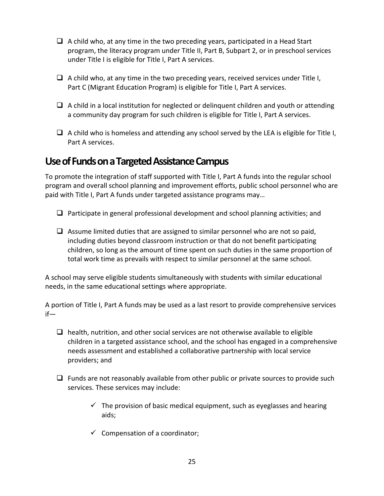- $\Box$  A child who, at any time in the two preceding years, participated in a Head Start program, the literacy program under Title II, Part B, Subpart 2, or in preschool services under Title I is eligible for Title I, Part A services.
- $\Box$  A child who, at any time in the two preceding years, received services under Title I, Part C (Migrant Education Program) is eligible for Title I, Part A services.
- $\Box$  A child in a local institution for neglected or delinguent children and youth or attending a community day program for such children is eligible for Title I, Part A services.
- $\Box$  A child who is homeless and attending any school served by the LEA is eligible for Title I, Part A services.

#### <span id="page-32-0"></span>**Use of Funds on a Targeted Assistance Campus**

To promote the integration of staff supported with Title I, Part A funds into the regular school program and overall school planning and improvement efforts, public school personnel who are paid with Title I, Part A funds under targeted assistance programs may…

- ❑ Participate in general professional development and school planning activities; and
- $\Box$  Assume limited duties that are assigned to similar personnel who are not so paid, including duties beyond classroom instruction or that do not benefit participating children, so long as the amount of time spent on such duties in the same proportion of total work time as prevails with respect to similar personnel at the same school.

A school may serve eligible students simultaneously with students with similar educational needs, in the same educational settings where appropriate.

A portion of Title I, Part A funds may be used as a last resort to provide comprehensive services if—

- $\Box$  health, nutrition, and other social services are not otherwise available to eligible children in a targeted assistance school, and the school has engaged in a comprehensive needs assessment and established a collaborative partnership with local service providers; and
- $\Box$  Funds are not reasonably available from other public or private sources to provide such services. These services may include:
	- $\checkmark$  The provision of basic medical equipment, such as eyeglasses and hearing aids;
	- $\checkmark$  Compensation of a coordinator;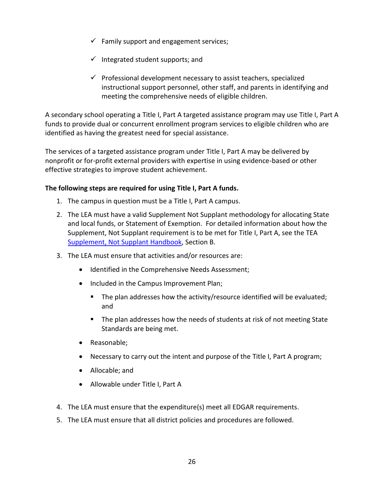- $\checkmark$  Family support and engagement services;
- $\checkmark$  Integrated student supports; and
- $\checkmark$  Professional development necessary to assist teachers, specialized instructional support personnel, other staff, and parents in identifying and meeting the comprehensive needs of eligible children.

A secondary school operating a Title I, Part A targeted assistance program may use Title I, Part A funds to provide dual or concurrent enrollment program services to eligible children who are identified as having the greatest need for special assistance.

The services of a targeted assistance program under Title I, Part A may be delivered by nonprofit or for-profit external providers with expertise in using evidence-based or other effective strategies to improve student achievement.

#### **The following steps are required for using Title I, Part A funds.**

- 1. The campus in question must be a Title I, Part A campus.
- 2. The LEA must have a valid Supplement Not Supplant methodology for allocating State and local funds, or Statement of Exemption. For detailed information about how the Supplement, Not Supplant requirement is to be met for Title I, Part A, see the TEA [Supplement, Not Supplant Handbook,](https://tea.texas.gov/sites/default/files/SNS%20Handbook_4.0--revised%209-5-2019.pdf) Section B.
- 3. The LEA must ensure that activities and/or resources are:
	- Identified in the Comprehensive Needs Assessment;
	- Included in the Campus Improvement Plan;
		- The plan addresses how the activity/resource identified will be evaluated; and
		- The plan addresses how the needs of students at risk of not meeting State Standards are being met.
	- Reasonable;
	- Necessary to carry out the intent and purpose of the Title I, Part A program;
	- Allocable; and
	- Allowable under Title I, Part A
- 4. The LEA must ensure that the expenditure(s) meet all EDGAR requirements.
- 5. The LEA must ensure that all district policies and procedures are followed.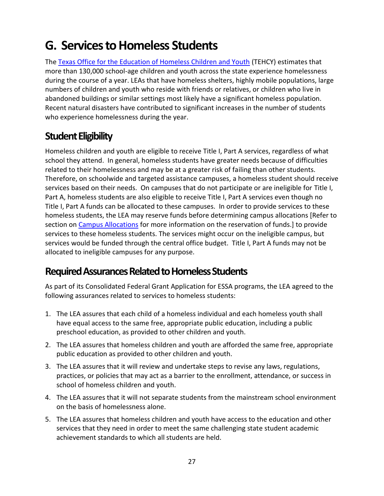### <span id="page-34-0"></span>**G. Services to Homeless Students**

The [Texas Office for the Education of Homeless Children and Youth](https://tea.texas.gov/Texas_Schools/Support_for_At-Risk_Schools_and_Students/Texas_Education_for_Homeless_Children_and_Youth_(TEHCY)_Program/) (TEHCY) estimates that more than 130,000 school-age children and youth across the state experience homelessness during the course of a year. LEAs that have homeless shelters, highly mobile populations, large numbers of children and youth who reside with friends or relatives, or children who live in abandoned buildings or similar settings most likely have a significant homeless population. Recent natural disasters have contributed to significant increases in the number of students who experience homelessness during the year.

### <span id="page-34-1"></span>**Student Eligibility**

Homeless children and youth are eligible to receive Title I, Part A services, regardless of what school they attend. In general, homeless students have greater needs because of difficulties related to their homelessness and may be at a greater risk of failing than other students. Therefore, on schoolwide and targeted assistance campuses, a homeless student should receive services based on their needs. On campuses that do not participate or are ineligible for Title I, Part A, homeless students are also eligible to receive Title I, Part A services even though no Title I, Part A funds can be allocated to these campuses. In order to provide services to these homeless students, the LEA may reserve funds before determining campus allocations [Refer to section on [Campus Allocations](#page-18-1) for more information on the reservation of funds.] to provide services to these homeless students. The services might occur on the ineligible campus, but services would be funded through the central office budget. Title I, Part A funds may not be allocated to ineligible campuses for any purpose.

#### <span id="page-34-2"></span>**Required Assurances Related to Homeless Students**

As part of its Consolidated Federal Grant Application for ESSA programs, the LEA agreed to the following assurances related to services to homeless students:

- 1. The LEA assures that each child of a homeless individual and each homeless youth shall have equal access to the same free, appropriate public education, including a public preschool education, as provided to other children and youth.
- 2. The LEA assures that homeless children and youth are afforded the same free, appropriate public education as provided to other children and youth.
- 3. The LEA assures that it will review and undertake steps to revise any laws, regulations, practices, or policies that may act as a barrier to the enrollment, attendance, or success in school of homeless children and youth.
- 4. The LEA assures that it will not separate students from the mainstream school environment on the basis of homelessness alone.
- 5. The LEA assures that homeless children and youth have access to the education and other services that they need in order to meet the same challenging state student academic achievement standards to which all students are held.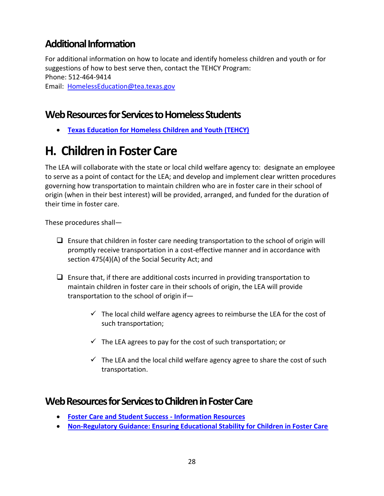### <span id="page-35-0"></span>**Additional Information**

For additional information on how to locate and identify homeless children and youth or for suggestions of how to best serve then, contact the TEHCY Program: Phone: 512-464-9414 Email: [HomelessEducation@tea.texas.gov](mailto:HomelessEducation@tea.texas.gov)

#### <span id="page-35-1"></span>**Web Resources for Services to Homeless Students**

• **[Texas Education for Homeless Children and Youth \(TEHCY\)](https://tea.texas.gov/Texas_Schools/Support_for_At-Risk_Schools_and_Students/Texas_Education_for_Homeless_Children_and_Youth_(TEHCY)_Program/)**

### <span id="page-35-2"></span>**H. Children in Foster Care**

The LEA will collaborate with the state or local child welfare agency to: designate an employee to serve as a point of contact for the LEA; and develop and implement clear written procedures governing how transportation to maintain children who are in foster care in their school of origin (when in their best interest) will be provided, arranged, and funded for the duration of their time in foster care.

These procedures shall—

- $\Box$  Ensure that children in foster care needing transportation to the school of origin will promptly receive transportation in a cost-effective manner and in accordance with section 475(4)(A) of the Social Security Act; and
- $\Box$  Ensure that, if there are additional costs incurred in providing transportation to maintain children in foster care in their schools of origin, the LEA will provide transportation to the school of origin if—
	- $\checkmark$  The local child welfare agency agrees to reimburse the LEA for the cost of such transportation;
	- $\checkmark$  The LEA agrees to pay for the cost of such transportation; or
	- $\checkmark$  The LEA and the local child welfare agency agree to share the cost of such transportation.

#### <span id="page-35-3"></span>**Web Resources for Services to Children in Foster Care**

- **[Foster Care and Student Success -](https://tea.texas.gov/node/104040) Information Resources**
- **[Non-Regulatory Guidance: Ensuring Educational Stability for Children in Foster Care](http://www2.ed.gov/policy/elsec/leg/essa/edhhsfostercarenonregulatorguide.pdf)**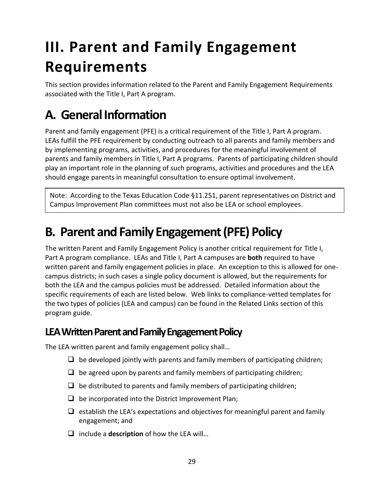# <span id="page-36-0"></span>**III. Parent and Family Engagement Requirements**

This section provides information related to the Parent and Family Engagement Requirements associated with the Title I, Part A program.

## <span id="page-36-1"></span>**A. General Information**

Parent and family engagement (PFE) is a critical requirement of the Title I, Part A program. LEAs fulfill the PFE requirement by conducting outreach to all parents and family members and by implementing programs, activities, and procedures for the meaningful involvement of parents and family members in Title I, Part A programs. Parents of participating children should play an important role in the planning of such programs, activities and procedures and the LEA should engage parents in meaningful consultation to ensure optimal involvement.

Note: According to the Texas Education Code §11.251, parent representatives on District and Campus Improvement Plan committees must not also be LEA or school employees.

### <span id="page-36-2"></span>**B. Parent and Family Engagement (PFE) Policy**

The written Parent and Family Engagement Policy is another critical requirement for Title I, Part A program compliance. LEAs and Title I, Part A campuses are **both** required to have written parent and family engagement policies in place. An exception to this is allowed for onecampus districts; in such cases a single policy document is allowed, but the requirements for both the LEA and the campus policies must be addressed. Detailed information about the specific requirements of each are listed below. Web links to compliance-vetted templates for the two types of policies (LEA and campus) can be found in the Related Links section of this program guide.

#### <span id="page-36-3"></span>**LEA Written Parent and Family Engagement Policy**

The LEA written parent and family engagement policy shall…

- $\Box$  be developed jointly with parents and family members of participating children;
- $\Box$  be agreed upon by parents and family members of participating children;
- $\Box$  be distributed to parents and family members of participating children;
- $\Box$  be incorporated into the District Improvement Plan;
- $\Box$  establish the LEA's expectations and objectives for meaningful parent and family engagement; and
- ❑ include a **description** of how the LEA will…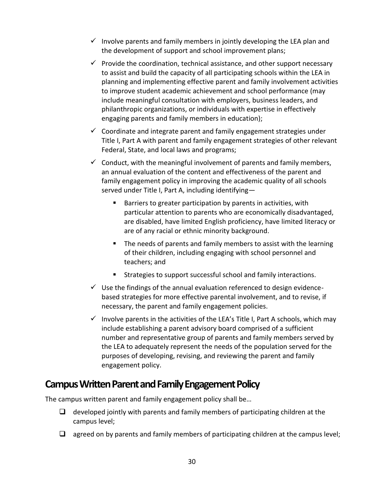- $\checkmark$  Involve parents and family members in jointly developing the LEA plan and the development of support and school improvement plans;
- $\checkmark$  Provide the coordination, technical assistance, and other support necessary to assist and build the capacity of all participating schools within the LEA in planning and implementing effective parent and family involvement activities to improve student academic achievement and school performance (may include meaningful consultation with employers, business leaders, and philanthropic organizations, or individuals with expertise in effectively engaging parents and family members in education);
- $\checkmark$  Coordinate and integrate parent and family engagement strategies under Title I, Part A with parent and family engagement strategies of other relevant Federal, State, and local laws and programs;
- $\checkmark$  Conduct, with the meaningful involvement of parents and family members, an annual evaluation of the content and effectiveness of the parent and family engagement policy in improving the academic quality of all schools served under Title I, Part A, including identifying—
	- Barriers to greater participation by parents in activities, with particular attention to parents who are economically disadvantaged, are disabled, have limited English proficiency, have limited literacy or are of any racial or ethnic minority background.
	- The needs of parents and family members to assist with the learning of their children, including engaging with school personnel and teachers; and
	- Strategies to support successful school and family interactions.
- $\checkmark$  Use the findings of the annual evaluation referenced to design evidencebased strategies for more effective parental involvement, and to revise, if necessary, the parent and family engagement policies.
- $\checkmark$  Involve parents in the activities of the LEA's Title I, Part A schools, which may include establishing a parent advisory board comprised of a sufficient number and representative group of parents and family members served by the LEA to adequately represent the needs of the population served for the purposes of developing, revising, and reviewing the parent and family engagement policy.

#### <span id="page-37-0"></span>**Campus Written Parent and Family Engagement Policy**

The campus written parent and family engagement policy shall be…

- $\Box$  developed jointly with parents and family members of participating children at the campus level;
- $\Box$  agreed on by parents and family members of participating children at the campus level;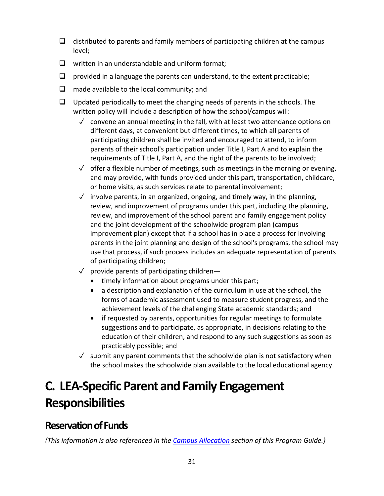- $\Box$  distributed to parents and family members of participating children at the campus level;
- ❑ written in an understandable and uniform format;
- $\Box$  provided in a language the parents can understand, to the extent practicable;
- ❑ made available to the local community; and
- $\Box$  Updated periodically to meet the changing needs of parents in the schools. The written policy will include a description of how the school/campus will:
	- $\checkmark$  convene an annual meeting in the fall, with at least two attendance options on different days, at convenient but different times, to which all parents of participating children shall be invited and encouraged to attend, to inform parents of their school's participation under Title I, Part A and to explain the requirements of Title I, Part A, and the right of the parents to be involved;
	- $\sqrt{\ }$  offer a flexible number of meetings, such as meetings in the morning or evening, and may provide, with funds provided under this part, transportation, childcare, or home visits, as such services relate to parental involvement;
	- $\sqrt{ }$  involve parents, in an organized, ongoing, and timely way, in the planning, review, and improvement of programs under this part, including the planning, review, and improvement of the school parent and family engagement policy and the joint development of the schoolwide program plan (campus improvement plan) except that if a school has in place a process for involving parents in the joint planning and design of the school's programs, the school may use that process, if such process includes an adequate representation of parents of participating children;
	- $\sqrt{ }$  provide parents of participating children-
		- timely information about programs under this part;
		- a description and explanation of the curriculum in use at the school, the forms of academic assessment used to measure student progress, and the achievement levels of the challenging State academic standards; and
		- if requested by parents, opportunities for regular meetings to formulate suggestions and to participate, as appropriate, in decisions relating to the education of their children, and respond to any such suggestions as soon as practicably possible; and
	- $\sqrt{\ }$  submit any parent comments that the schoolwide plan is not satisfactory when the school makes the schoolwide plan available to the local educational agency.

## <span id="page-38-0"></span>**C. LEA-Specific Parent and Family Engagement Responsibilities**

### <span id="page-38-1"></span>**Reservation of Funds**

*(This information is also referenced in the [Campus Allocation](#page-18-1) section of this Program Guide.)*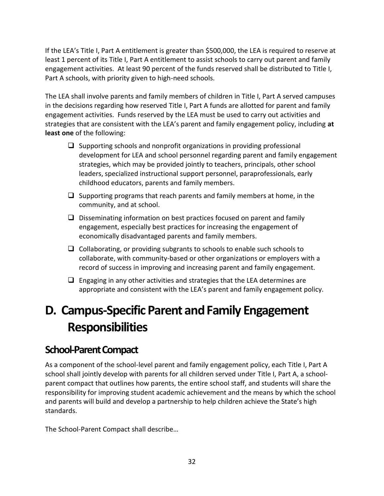If the LEA's Title I, Part A entitlement is greater than \$500,000, the LEA is required to reserve at least 1 percent of its Title I, Part A entitlement to assist schools to carry out parent and family engagement activities. At least 90 percent of the funds reserved shall be distributed to Title I, Part A schools, with priority given to high-need schools.

The LEA shall involve parents and family members of children in Title I, Part A served campuses in the decisions regarding how reserved Title I, Part A funds are allotted for parent and family engagement activities. Funds reserved by the LEA must be used to carry out activities and strategies that are consistent with the LEA's parent and family engagement policy, including **at least one** of the following:

- $\Box$  Supporting schools and nonprofit organizations in providing professional development for LEA and school personnel regarding parent and family engagement strategies, which may be provided jointly to teachers, principals, other school leaders, specialized instructional support personnel, paraprofessionals, early childhood educators, parents and family members.
- $\Box$  Supporting programs that reach parents and family members at home, in the community, and at school.
- ❑ Disseminating information on best practices focused on parent and family engagement, especially best practices for increasing the engagement of economically disadvantaged parents and family members.
- ❑ Collaborating, or providing subgrants to schools to enable such schools to collaborate, with community-based or other organizations or employers with a record of success in improving and increasing parent and family engagement.
- $\Box$  Engaging in any other activities and strategies that the LEA determines are appropriate and consistent with the LEA's parent and family engagement policy.

### <span id="page-39-0"></span>**D. Campus-Specific Parent and Family Engagement Responsibilities**

#### <span id="page-39-1"></span>**School-Parent Compact**

As a component of the school-level parent and family engagement policy, each Title I, Part A school shall jointly develop with parents for all children served under Title I, Part A, a schoolparent compact that outlines how parents, the entire school staff, and students will share the responsibility for improving student academic achievement and the means by which the school and parents will build and develop a partnership to help children achieve the State's high standards.

The School-Parent Compact shall describe…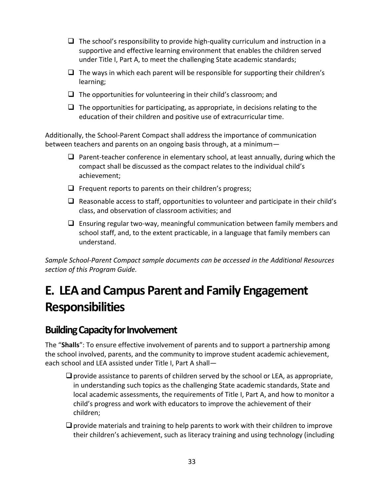- $\Box$  The school's responsibility to provide high-quality curriculum and instruction in a supportive and effective learning environment that enables the children served under Title I, Part A, to meet the challenging State academic standards;
- $\Box$  The ways in which each parent will be responsible for supporting their children's learning;
- $\Box$  The opportunities for volunteering in their child's classroom; and
- $\Box$  The opportunities for participating, as appropriate, in decisions relating to the education of their children and positive use of extracurricular time.

Additionally, the School-Parent Compact shall address the importance of communication between teachers and parents on an ongoing basis through, at a minimum—

- $\Box$  Parent-teacher conference in elementary school, at least annually, during which the compact shall be discussed as the compact relates to the individual child's achievement;
- $\Box$  Frequent reports to parents on their children's progress;
- $\Box$  Reasonable access to staff, opportunities to volunteer and participate in their child's class, and observation of classroom activities; and
- ❑ Ensuring regular two-way, meaningful communication between family members and school staff, and, to the extent practicable, in a language that family members can understand.

*Sample School-Parent Compact sample documents can be accessed in the Additional Resources section of this Program Guide.*

## <span id="page-40-0"></span>**E. LEA and Campus Parent and Family Engagement Responsibilities**

#### <span id="page-40-1"></span>**Building Capacity for Involvement**

The "**Shalls**": To ensure effective involvement of parents and to support a partnership among the school involved, parents, and the community to improve student academic achievement, each school and LEA assisted under Title I, Part A shall—

- $\Box$  provide assistance to parents of children served by the school or LEA, as appropriate, in understanding such topics as the challenging State academic standards, State and local academic assessments, the requirements of Title I, Part A, and how to monitor a child's progress and work with educators to improve the achievement of their children;
- $\Box$  provide materials and training to help parents to work with their children to improve their children's achievement, such as literacy training and using technology (including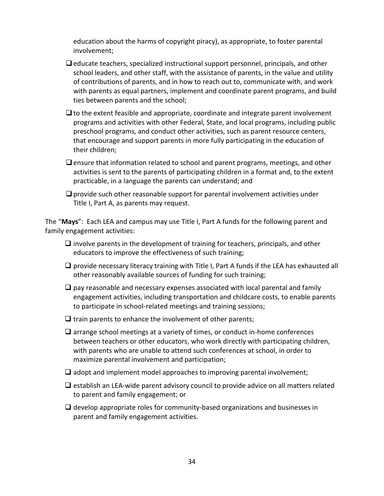education about the harms of copyright piracy), as appropriate, to foster parental involvement;

- $\Box$  educate teachers, specialized instructional support personnel, principals, and other school leaders, and other staff, with the assistance of parents, in the value and utility of contributions of parents, and in how to reach out to, communicate with, and work with parents as equal partners, implement and coordinate parent programs, and build ties between parents and the school;
- $\Box$  to the extent feasible and appropriate, coordinate and integrate parent involvement programs and activities with other Federal, State, and local programs, including public preschool programs, and conduct other activities, such as parent resource centers, that encourage and support parents in more fully participating in the education of their children;
- $\Box$  ensure that information related to school and parent programs, meetings, and other activities is sent to the parents of participating children in a format and, to the extent practicable, in a language the parents can understand; and
- $\Box$  provide such other reasonable support for parental involvement activities under Title I, Part A, as parents may request.

The "**Mays**": Each LEA and campus may use Title I, Part A funds for the following parent and family engagement activities:

- $\Box$  involve parents in the development of training for teachers, principals, and other educators to improve the effectiveness of such training;
- $\Box$  provide necessary literacy training with Title I, Part A funds if the LEA has exhausted all other reasonably available sources of funding for such training;
- $\Box$  pay reasonable and necessary expenses associated with local parental and family engagement activities, including transportation and childcare costs, to enable parents to participate in school-related meetings and training sessions;
- $\Box$  train parents to enhance the involvement of other parents;
- ❑ arrange school meetings at a variety of times, or conduct in-home conferences between teachers or other educators, who work directly with participating children, with parents who are unable to attend such conferences at school, in order to maximize parental involvement and participation;
- $\Box$  adopt and implement model approaches to improving parental involvement;
- ❑ establish an LEA-wide parent advisory council to provide advice on all matters related to parent and family engagement; or
- $\Box$  develop appropriate roles for community-based organizations and businesses in parent and family engagement activities.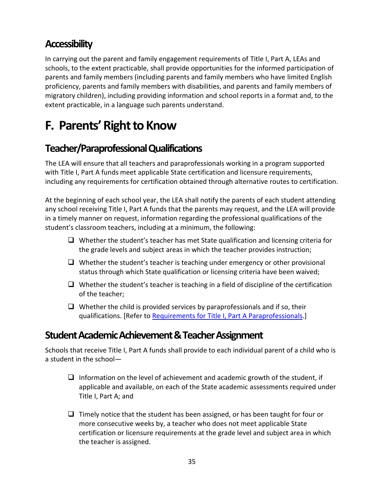### <span id="page-42-0"></span>**Accessibility**

In carrying out the parent and family engagement requirements of Title I, Part A, LEAs and schools, to the extent practicable, shall provide opportunities for the informed participation of parents and family members (including parents and family members who have limited English proficiency, parents and family members with disabilities, and parents and family members of migratory children), including providing information and school reports in a format and, to the extent practicable, in a language such parents understand.

### <span id="page-42-1"></span>**F. Parents' Right to Know**

### <span id="page-42-2"></span>**Teacher/Paraprofessional Qualifications**

The LEA will ensure that all teachers and paraprofessionals working in a program supported with Title I, Part A funds meet applicable State certification and licensure requirements, including any requirements for certification obtained through alternative routes to certification.

At the beginning of each school year, the LEA shall notify the parents of each student attending any school receiving Title I, Part A funds that the parents may request, and the LEA will provide in a timely manner on request, information regarding the professional qualifications of the student's classroom teachers, including at a minimum, the following:

- $\Box$  Whether the student's teacher has met State qualification and licensing criteria for the grade levels and subject areas in which the teacher provides instruction;
- $\Box$  Whether the student's teacher is teaching under emergency or other provisional status through which State qualification or licensing criteria have been waived;
- $\Box$  Whether the student's teacher is teaching in a field of discipline of the certification of the teacher;
- $\Box$  Whether the child is provided services by paraprofessionals and if so, their qualifications. [Refer t[o Requirements for Title I, Part A](https://tea.texas.gov/finance-and-grants/grants/essa-program/requirements-highly-qualified-paraprofessionals) Paraprofessionals.]

#### <span id="page-42-3"></span>**Student Academic Achievement & Teacher Assignment**

Schools that receive Title I, Part A funds shall provide to each individual parent of a child who is a student in the school—

- $\Box$  Information on the level of achievement and academic growth of the student, if applicable and available, on each of the State academic assessments required under Title I, Part A; and
- ❑ Timely notice that the student has been assigned, or has been taught for four or more consecutive weeks by, a teacher who does not meet applicable State certification or licensure requirements at the grade level and subject area in which the teacher is assigned.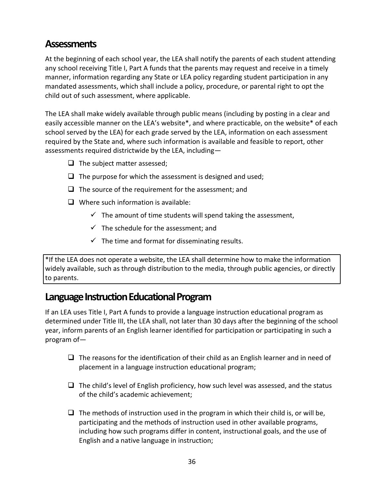#### <span id="page-43-0"></span>**Assessments**

At the beginning of each school year, the LEA shall notify the parents of each student attending any school receiving Title I, Part A funds that the parents may request and receive in a timely manner, information regarding any State or LEA policy regarding student participation in any mandated assessments, which shall include a policy, procedure, or parental right to opt the child out of such assessment, where applicable.

The LEA shall make widely available through public means (including by posting in a clear and easily accessible manner on the LEA's website\*, and where practicable, on the website\* of each school served by the LEA) for each grade served by the LEA, information on each assessment required by the State and, where such information is available and feasible to report, other assessments required districtwide by the LEA, including—

- ❑ The subject matter assessed;
- $\Box$  The purpose for which the assessment is designed and used;
- $\Box$  The source of the requirement for the assessment; and
- ❑ Where such information is available:
	- $\checkmark$  The amount of time students will spend taking the assessment,
	- $\checkmark$  The schedule for the assessment: and
	- $\checkmark$  The time and format for disseminating results.

\*If the LEA does not operate a website, the LEA shall determine how to make the information widely available, such as through distribution to the media, through public agencies, or directly to parents.

#### <span id="page-43-1"></span>**Language Instruction Educational Program**

If an LEA uses Title I, Part A funds to provide a language instruction educational program as determined under Title III, the LEA shall, not later than 30 days after the beginning of the school year, inform parents of an English learner identified for participation or participating in such a program of—

- $\Box$  The reasons for the identification of their child as an English learner and in need of placement in a language instruction educational program;
- $\Box$  The child's level of English proficiency, how such level was assessed, and the status of the child's academic achievement;
- $\Box$  The methods of instruction used in the program in which their child is, or will be, participating and the methods of instruction used in other available programs, including how such programs differ in content, instructional goals, and the use of English and a native language in instruction;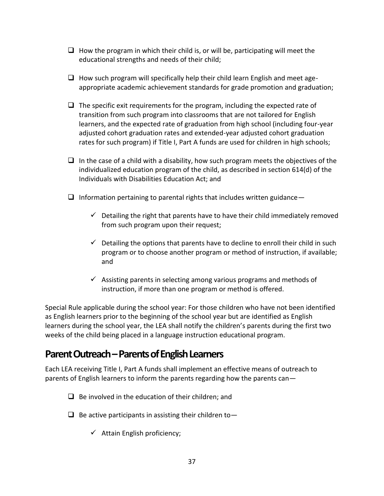- $\Box$  How the program in which their child is, or will be, participating will meet the educational strengths and needs of their child;
- $\Box$  How such program will specifically help their child learn English and meet ageappropriate academic achievement standards for grade promotion and graduation;
- $\Box$  The specific exit requirements for the program, including the expected rate of transition from such program into classrooms that are not tailored for English learners, and the expected rate of graduation from high school (including four-year adjusted cohort graduation rates and extended-year adjusted cohort graduation rates for such program) if Title I, Part A funds are used for children in high schools;
- $\Box$  In the case of a child with a disability, how such program meets the objectives of the individualized education program of the child, as described in section 614(d) of the Individuals with Disabilities Education Act; and
- $\Box$  Information pertaining to parental rights that includes written guidance
	- $\checkmark$  Detailing the right that parents have to have their child immediately removed from such program upon their request;
	- $\checkmark$  Detailing the options that parents have to decline to enroll their child in such program or to choose another program or method of instruction, if available; and
	- $\checkmark$  Assisting parents in selecting among various programs and methods of instruction, if more than one program or method is offered.

Special Rule applicable during the school year: For those children who have not been identified as English learners prior to the beginning of the school year but are identified as English learners during the school year, the LEA shall notify the children's parents during the first two weeks of the child being placed in a language instruction educational program.

#### <span id="page-44-0"></span>**Parent Outreach –Parents of English Learners**

Each LEA receiving Title I, Part A funds shall implement an effective means of outreach to parents of English learners to inform the parents regarding how the parents can—

- $\Box$  Be involved in the education of their children; and
- $\Box$  Be active participants in assisting their children to  $\Box$ 
	- $\checkmark$  Attain English proficiency;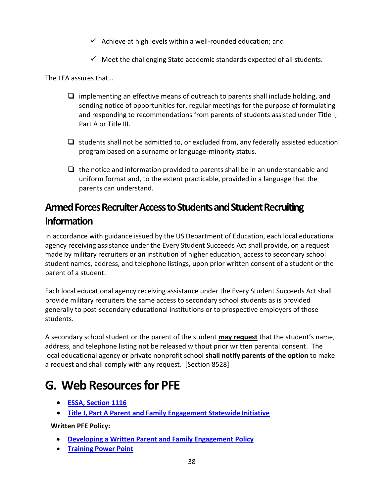- $\checkmark$  Achieve at high levels within a well-rounded education; and
- $\checkmark$  Meet the challenging State academic standards expected of all students.

The LEA assures that…

- ❑ implementing an effective means of outreach to parents shall include holding, and sending notice of opportunities for, regular meetings for the purpose of formulating and responding to recommendations from parents of students assisted under Title I, Part A or Title III.
- $\Box$  students shall not be admitted to, or excluded from, any federally assisted education program based on a surname or language-minority status.
- $\Box$  the notice and information provided to parents shall be in an understandable and uniform format and, to the extent practicable, provided in a language that the parents can understand.

### <span id="page-45-0"></span>**Armed Forces Recruiter Access to Students and Student Recruiting Information**

In accordance with guidance issued by the US Department of Education, each local educational agency receiving assistance under the Every Student Succeeds Act shall provide, on a request made by military recruiters or an institution of higher education, access to secondary school student names, address, and telephone listings, upon prior written consent of a student or the parent of a student.

Each local educational agency receiving assistance under the Every Student Succeeds Act shall provide military recruiters the same access to secondary school students as is provided generally to post-secondary educational institutions or to prospective employers of those students.

A secondary school student or the parent of the student **may request** that the student's name, address, and telephone listing not be released without prior written parental consent. The local educational agency or private nonprofit school **shall notify parents of the option** to make a request and shall comply with any request. [Section 8528]

### <span id="page-45-1"></span>**G. Web Resourcesfor PFE**

- **[ESSA, Section 1116](https://www.esc16.net/upload/page/0367/PublicLaw%20.pdf)**
- **[Title I, Part A Parent and Family Engagement Statewide Initiative](https://www.esc16.net/page/title1swi.home)**

**Written PFE Policy:**

- **[Developing a Written Parent and Family Engagement Policy](http://www.livebinders.com/play/play?id=1745124)**
- **[Training Power Point](https://www.esc16.net/upload/page/0371/Policy%20Parent%20and%20Family%20Engagement%20updated%20022019.pdf)**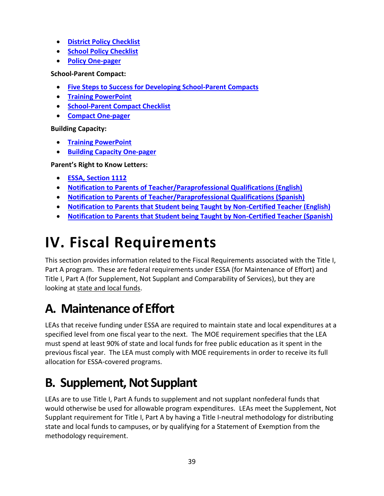- **[District Policy Checklist](https://www.esc16.net/upload/page/0371/Copy%20of%20Checklist%20District%20Par%20Inv%20Policy%20ESSA%2001162017.pdf)**
- **[School Policy Checklist](https://www.esc16.net/upload/page/0371/Checklist%20School%20Par%20Inv%20Policy%201ESSA%2001162017.pdf)**
- **[Policy One-pager](https://www.esc16.net/upload/page/2525/Parental%20Involvement%20Policy%20one-page%20with%20copyright.2.pdf)**

**School-Parent Compact:**

- **[Five Steps to Success for Developing School-Parent Compacts](http://www.livebinders.com/play/play?id=1749202)**
- **[Training PowerPoint](https://www.esc16.net/upload/page/0369/Developing%20School-Parent%20Compacts%20updated%20012019.pdf)**
- **[School-Parent Compact Checklist](https://www.esc16.net/upload/page/0369/docs/1Copy%20of%20Checklist%20School%20Parent%20Compact%20ESSA%2001162017.pdf)**
- **[Compact One-pager](https://www.esc16.net/upload/page/2525/Sch-Par%20Compact%20one-page%20with%20copyright.pdf)**

**Building Capacity:**

- **[Training PowerPoint](https://www.esc16.net/upload/page/0368/Building%20Capacity%20Requirements%20updated%20012019.pdf)**
- **[Building Capacity One-pager](https://www.esc16.net/upload/page/0368/1Building%20Capacity%20one-page%20with%20copyright.pdf)**

**Parent's Right to Know Letters:**

- **[ESSA, Section 1112](https://www.esc16.net/upload/page/0370/ESSA%20Section%201112.pdf)**
- **[Notification to Parents of Teacher/Paraprofessional Qualifications \(English\)](https://www.esc16.net/upload/page/0370/Revised%20Parents%20Right%20to%20Know.English%20%202.1.19.pdf)**
- **[Notification to Parents of Teacher/Paraprofessional Qualifications \(Spanish\)](https://www.esc16.net/upload/page/0370/Spanish%20Notif%20to%20Parent%20of%20TeacherPara%20Qualification.pdf)**
- <span id="page-46-3"></span>• **[Notification to Parents that Student being Taught by Non-Certified Teacher \(English\)](https://www.esc16.net/upload/page/0370/Teacher%20non-certified%20notification%20letter.pdf)**
- **[Notification to Parents that Student being Taught by Non-Certified Teacher \(Spanish\)](https://www.esc16.net/upload/page/0370/Revised%20Parents%20Right%20to%20Know.Spanish%20%202.1.19.pdf)**

# <span id="page-46-0"></span>**IV. Fiscal Requirements**

This section provides information related to the Fiscal Requirements associated with the Title I, Part A program. These are federal requirements under ESSA (for Maintenance of Effort) and Title I, Part A (for Supplement, Not Supplant and Comparability of Services), but they are looking at state and local funds.

## <span id="page-46-1"></span>**A. Maintenance of Effort**

LEAs that receive funding under ESSA are required to maintain state and local expenditures at a specified level from one fiscal year to the next. The MOE requirement specifies that the LEA must spend at least 90% of state and local funds for free public education as it spent in the previous fiscal year. The LEA must comply with MOE requirements in order to receive its full allocation for ESSA-covered programs.

## <span id="page-46-2"></span>**B. Supplement, Not Supplant**

LEAs are to use Title I, Part A funds to supplement and not supplant nonfederal funds that would otherwise be used for allowable program expenditures. LEAs meet the Supplement, Not Supplant requirement for Title I, Part A by having a Title I-neutral methodology for distributing state and local funds to campuses, or by qualifying for a Statement of Exemption from the methodology requirement.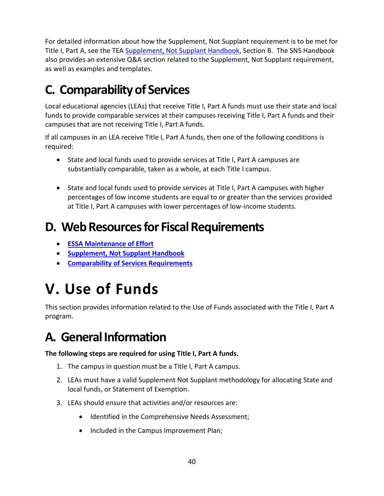For detailed information about how the Supplement, Not Supplant requirement is to be met for Title I, Part A, see the TEA Supplement, [Not Supplant Handbook,](https://tea.texas.gov/sites/default/files/SNS%20Handbook_4.0--revised%209-5-2019.pdf) Section B. The SNS Handbook also provides an extensive Q&A section related to the Supplement, Not Supplant requirement, as well as examples and templates.

## <span id="page-47-0"></span>**C. Comparability of Services**

Local educational agencies (LEAs) that receive Title I, Part A funds must use their state and local funds to provide comparable services at their campuses receiving Title I, Part A funds and their campuses that are not receiving Title I, Part A funds.

If all campuses in an LEA receive Title I, Part A funds, then one of the following conditions is required:

- State and local funds used to provide services at Title I, Part A campuses are substantially comparable, taken as a whole, at each Title I campus.
- State and local funds used to provide services at Title I, Part A campuses with higher percentages of low income students are equal to or greater than the services provided at Title I, Part A campuses with lower percentages of low-income students.

### <span id="page-47-1"></span>**D. Web Resources for Fiscal Requirements**

- **[ESSA Maintenance of Effort](https://tea.texas.gov/Finance_and_Grants/Grants/Federal_Fiscal_Compliance_and_Reporting/NCLB_Fiscal_Compliance/ESSA_LEA_Maintenance_of_Effort)**
- **[Supplement, Not Supplant Handbook](https://tea.texas.gov/sites/default/files/SNS%20Handbook_4.0--revised%209-5-2019.pdf)**
- <span id="page-47-4"></span>• **[Comparability of Services Requirements](https://tea.texas.gov/Finance_and_Grants/Grants/Federal_Fiscal_Compliance_and_Reporting/NCLB_Fiscal_Compliance/Title_I%2C_Part_A_-_Comparability_of_Services_Requirement)**

# <span id="page-47-2"></span>**V. Use of Funds**

This section provides information related to the Use of Funds associated with the Title I, Part A program.

## <span id="page-47-3"></span>**A. General Information**

**The following steps are required for using Title I, Part A funds.**

- 1. The campus in question must be a Title I, Part A campus.
- 2. LEAs must have a valid Supplement Not Supplant methodology for allocating State and local funds, or Statement of Exemption.
- 3. LEAs should ensure that activities and/or resources are:
	- Identified in the Comprehensive Needs Assessment;
	- Included in the Campus Improvement Plan;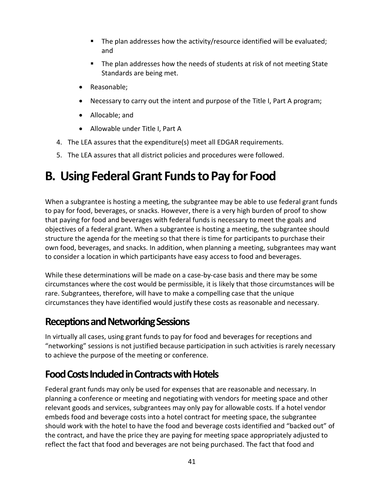- The plan addresses how the activity/resource identified will be evaluated; and
- The plan addresses how the needs of students at risk of not meeting State Standards are being met.
- Reasonable;
- Necessary to carry out the intent and purpose of the Title I, Part A program;
- Allocable; and
- Allowable under Title I, Part A
- 4. The LEA assures that the expenditure(s) meet all EDGAR requirements.
- 5. The LEA assures that all district policies and procedures were followed.

### <span id="page-48-0"></span>**B. Using Federal Grant Funds to Pay for Food**

When a subgrantee is hosting a meeting, the subgrantee may be able to use federal grant funds to pay for food, beverages, or snacks. However, there is a very high burden of proof to show that paying for food and beverages with federal funds is necessary to meet the goals and objectives of a federal grant. When a subgrantee is hosting a meeting, the subgrantee should structure the agenda for the meeting so that there is time for participants to purchase their own food, beverages, and snacks. In addition, when planning a meeting, subgrantees may want to consider a location in which participants have easy access to food and beverages.

While these determinations will be made on a case-by-case basis and there may be some circumstances where the cost would be permissible, it is likely that those circumstances will be rare. Subgrantees, therefore, will have to make a compelling case that the unique circumstances they have identified would justify these costs as reasonable and necessary.

#### <span id="page-48-1"></span>**Receptions and Networking Sessions**

In virtually all cases, using grant funds to pay for food and beverages for receptions and "networking" sessions is not justified because participation in such activities is rarely necessary to achieve the purpose of the meeting or conference.

### <span id="page-48-2"></span>**Food Costs Included in Contracts with Hotels**

Federal grant funds may only be used for expenses that are reasonable and necessary. In planning a conference or meeting and negotiating with vendors for meeting space and other relevant goods and services, subgrantees may only pay for allowable costs. If a hotel vendor embeds food and beverage costs into a hotel contract for meeting space, the subgrantee should work with the hotel to have the food and beverage costs identified and "backed out" of the contract, and have the price they are paying for meeting space appropriately adjusted to reflect the fact that food and beverages are not being purchased. The fact that food and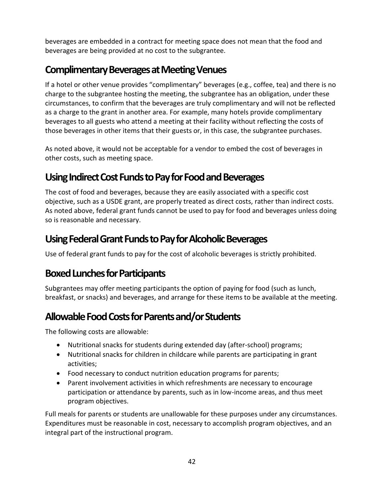beverages are embedded in a contract for meeting space does not mean that the food and beverages are being provided at no cost to the subgrantee.

### <span id="page-49-0"></span>**Complimentary Beverages at Meeting Venues**

If a hotel or other venue provides "complimentary" beverages (e.g., coffee, tea) and there is no charge to the subgrantee hosting the meeting, the subgrantee has an obligation, under these circumstances, to confirm that the beverages are truly complimentary and will not be reflected as a charge to the grant in another area. For example, many hotels provide complimentary beverages to all guests who attend a meeting at their facility without reflecting the costs of those beverages in other items that their guests or, in this case, the subgrantee purchases.

As noted above, it would not be acceptable for a vendor to embed the cost of beverages in other costs, such as meeting space.

### <span id="page-49-1"></span>**Using Indirect Cost Funds to Pay for Food and Beverages**

The cost of food and beverages, because they are easily associated with a specific cost objective, such as a USDE grant, are properly treated as direct costs, rather than indirect costs. As noted above, federal grant funds cannot be used to pay for food and beverages unless doing so is reasonable and necessary.

### <span id="page-49-2"></span>**Using Federal Grant Funds to Pay for Alcoholic Beverages**

Use of federal grant funds to pay for the cost of alcoholic beverages is strictly prohibited.

#### <span id="page-49-3"></span>**Boxed Lunches for Participants**

Subgrantees may offer meeting participants the option of paying for food (such as lunch, breakfast, or snacks) and beverages, and arrange for these items to be available at the meeting.

### <span id="page-49-4"></span>**Allowable Food Costs for Parents and/or Students**

The following costs are allowable:

- Nutritional snacks for students during extended day (after-school) programs;
- Nutritional snacks for children in childcare while parents are participating in grant activities;
- Food necessary to conduct nutrition education programs for parents;
- Parent involvement activities in which refreshments are necessary to encourage participation or attendance by parents, such as in low-income areas, and thus meet program objectives.

Full meals for parents or students are unallowable for these purposes under any circumstances. Expenditures must be reasonable in cost, necessary to accomplish program objectives, and an integral part of the instructional program.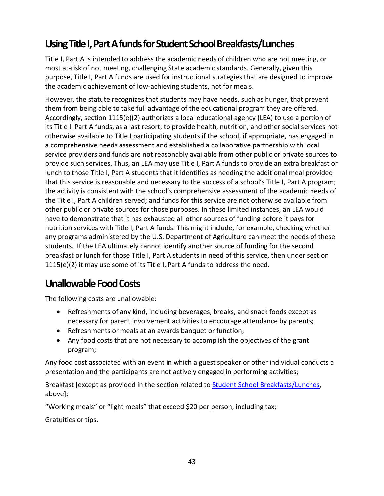### <span id="page-50-0"></span>Using Title I, Part A funds for Student School Breakfasts/Lunches

Title I, Part A is intended to address the academic needs of children who are not meeting, or most at-risk of not meeting, challenging State academic standards. Generally, given this purpose, Title I, Part A funds are used for instructional strategies that are designed to improve the academic achievement of low-achieving students, not for meals.

However, the statute recognizes that students may have needs, such as hunger, that prevent them from being able to take full advantage of the educational program they are offered. Accordingly, section 1115(e)(2) authorizes a local educational agency (LEA) to use a portion of its Title I, Part A funds, as a last resort, to provide health, nutrition, and other social services not otherwise available to Title I participating students if the school, if appropriate, has engaged in a comprehensive needs assessment and established a collaborative partnership with local service providers and funds are not reasonably available from other public or private sources to provide such services. Thus, an LEA may use Title I, Part A funds to provide an extra breakfast or lunch to those Title I, Part A students that it identifies as needing the additional meal provided that this service is reasonable and necessary to the success of a school's Title I, Part A program; the activity is consistent with the school's comprehensive assessment of the academic needs of the Title I, Part A children served; and funds for this service are not otherwise available from other public or private sources for those purposes. In these limited instances, an LEA would have to demonstrate that it has exhausted all other sources of funding before it pays for nutrition services with Title I, Part A funds. This might include, for example, checking whether any programs administered by the U.S. Department of Agriculture can meet the needs of these students. If the LEA ultimately cannot identify another source of funding for the second breakfast or lunch for those Title I, Part A students in need of this service, then under section 1115(e)(2) it may use some of its Title I, Part A funds to address the need.

#### <span id="page-50-1"></span>**Unallowable Food Costs**

The following costs are unallowable:

- Refreshments of any kind, including beverages, breaks, and snack foods except as necessary for parent involvement activities to encourage attendance by parents;
- Refreshments or meals at an awards banquet or function;
- Any food costs that are not necessary to accomplish the objectives of the grant program;

Any food cost associated with an event in which a guest speaker or other individual conducts a presentation and the participants are not actively engaged in performing activities;

Breakfast [except as provided in the section related to **Student School Breakfasts/Lunches**, above];

"Working meals" or "light meals" that exceed \$20 per person, including tax;

Gratuities or tips.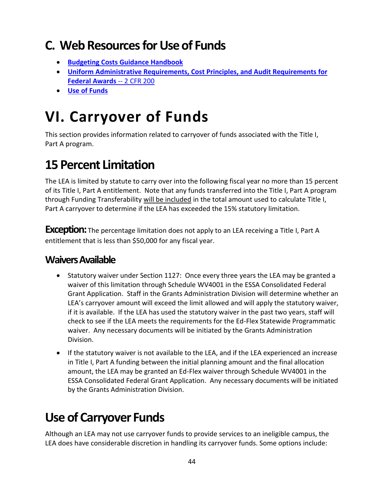## <span id="page-51-0"></span>**C. Web Resourcesfor Use of Funds**

- **Budgeting Costs Guidance [Handbook](https://tea.texas.gov/sites/default/files/budgeting_costs_guidance_handbook.pdf)**
- **Uniform Administrative [Requirements, Cost](https://www.ecfr.gov/cgi-bin/text-idx?SID=daf9f454d79344ef884779e46a9acd2f&node=pt2.1.200&rgn=div5#_top) Principles, and Audit Requirements for Federal Awards** -- [2 CFR 200](https://www.ecfr.gov/cgi-bin/text-idx?SID=daf9f454d79344ef884779e46a9acd2f&node=pt2.1.200&rgn=div5#_top)
- **[Use of Funds](https://tea.texas.gov/sites/default/files/T1AUseOfFunds.pdf)**

# <span id="page-51-1"></span>**VI. Carryover of Funds**

This section provides information related to carryover of funds associated with the Title I, Part A program.

## <span id="page-51-2"></span>**15 Percent Limitation**

The LEA is limited by statute to carry over into the following fiscal year no more than 15 percent of its Title I, Part A entitlement. Note that any funds transferred into the Title I, Part A program through Funding Transferability will be included in the total amount used to calculate Title I, Part A carryover to determine if the LEA has exceeded the 15% statutory limitation.

**Exception:** The percentage limitation does not apply to an LEA receiving a Title I, Part A entitlement that is less than \$50,000 for any fiscal year.

#### <span id="page-51-3"></span>**Waivers Available**

- Statutory waiver under Section 1127: Once every three years the LEA may be granted a waiver of this limitation through Schedule WV4001 in the ESSA Consolidated Federal Grant Application. Staff in the Grants Administration Division will determine whether an LEA's carryover amount will exceed the limit allowed and will apply the statutory waiver, if it is available. If the LEA has used the statutory waiver in the past two years, staff will check to see if the LEA meets the requirements for the Ed-Flex Statewide Programmatic waiver. Any necessary documents will be initiated by the Grants Administration Division.
- If the statutory waiver is not available to the LEA, and if the LEA experienced an increase in Title I, Part A funding between the initial planning amount and the final allocation amount, the LEA may be granted an Ed-Flex waiver through Schedule WV4001 in the ESSA Consolidated Federal Grant Application. Any necessary documents will be initiated by the Grants Administration Division.

## <span id="page-51-4"></span>**Use of Carryover Funds**

Although an LEA may not use carryover funds to provide services to an ineligible campus, the LEA does have considerable discretion in handling its carryover funds. Some options include: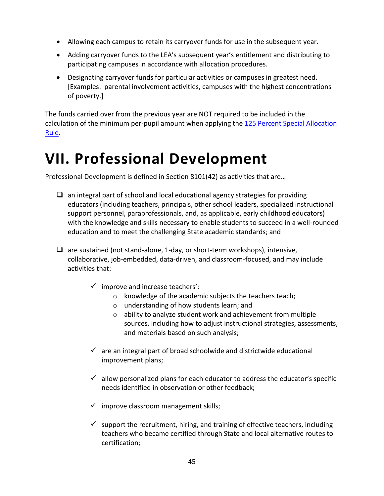- Allowing each campus to retain its carryover funds for use in the subsequent year.
- Adding carryover funds to the LEA's subsequent year's entitlement and distributing to participating campuses in accordance with allocation procedures.
- Designating carryover funds for particular activities or campuses in greatest need. [Examples: parental involvement activities, campuses with the highest concentrations of poverty.]

<span id="page-52-1"></span>The funds carried over from the previous year are NOT required to be included in the calculation of the minimum per-pupil amount when applying the 125 Percent Special Allocation [Rule.](#page-21-0)

# <span id="page-52-0"></span>**VII. Professional Development**

Professional Development is defined in Section 8101(42) as activities that are…

- $\Box$  an integral part of school and local educational agency strategies for providing educators (including teachers, principals, other school leaders, specialized instructional support personnel, paraprofessionals, and, as applicable, early childhood educators) with the knowledge and skills necessary to enable students to succeed in a well-rounded education and to meet the challenging State academic standards; and
- $\Box$  are sustained (not stand-alone, 1-day, or short-term workshops), intensive, collaborative, job-embedded, data-driven, and classroom-focused, and may include activities that:
	- $\checkmark$  improve and increase teachers':
		- o knowledge of the academic subjects the teachers teach;
		- o understanding of how students learn; and
		- o ability to analyze student work and achievement from multiple sources, including how to adjust instructional strategies, assessments, and materials based on such analysis;
	- $\checkmark$  are an integral part of broad schoolwide and districtwide educational improvement plans;
	- $\checkmark$  allow personalized plans for each educator to address the educator's specific needs identified in observation or other feedback;
	- $\checkmark$  improve classroom management skills;
	- $\checkmark$  support the recruitment, hiring, and training of effective teachers, including teachers who became certified through State and local alternative routes to certification;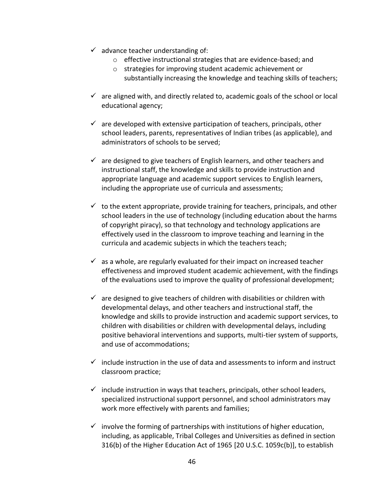- $\checkmark$  advance teacher understanding of:
	- o effective instructional strategies that are evidence-based; and
	- o strategies for improving student academic achievement or substantially increasing the knowledge and teaching skills of teachers;
- $\checkmark$  are aligned with, and directly related to, academic goals of the school or local educational agency;
- $\checkmark$  are developed with extensive participation of teachers, principals, other school leaders, parents, representatives of Indian tribes (as applicable), and administrators of schools to be served;
- $\checkmark$  are designed to give teachers of English learners, and other teachers and instructional staff, the knowledge and skills to provide instruction and appropriate language and academic support services to English learners, including the appropriate use of curricula and assessments;
- $\checkmark$  to the extent appropriate, provide training for teachers, principals, and other school leaders in the use of technology (including education about the harms of copyright piracy), so that technology and technology applications are effectively used in the classroom to improve teaching and learning in the curricula and academic subjects in which the teachers teach;
- $\checkmark$  as a whole, are regularly evaluated for their impact on increased teacher effectiveness and improved student academic achievement, with the findings of the evaluations used to improve the quality of professional development;
- $\checkmark$  are designed to give teachers of children with disabilities or children with developmental delays, and other teachers and instructional staff, the knowledge and skills to provide instruction and academic support services, to children with disabilities or children with developmental delays, including positive behavioral interventions and supports, multi-tier system of supports, and use of accommodations;
- $\checkmark$  include instruction in the use of data and assessments to inform and instruct classroom practice;
- $\checkmark$  include instruction in ways that teachers, principals, other school leaders, specialized instructional support personnel, and school administrators may work more effectively with parents and families;
- $\checkmark$  involve the forming of partnerships with institutions of higher education, including, as applicable, Tribal Colleges and Universities as defined in section 316(b) of the Higher Education Act of 1965 [20 U.S.C. 1059c(b)], to establish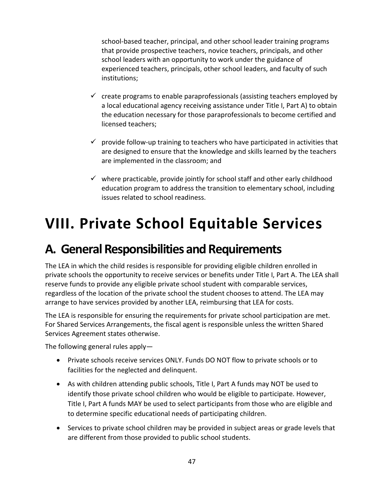school-based teacher, principal, and other school leader training programs that provide prospective teachers, novice teachers, principals, and other school leaders with an opportunity to work under the guidance of experienced teachers, principals, other school leaders, and faculty of such institutions;

- $\checkmark$  create programs to enable paraprofessionals (assisting teachers employed by a local educational agency receiving assistance under Title I, Part A) to obtain the education necessary for those paraprofessionals to become certified and licensed teachers;
- $\checkmark$  provide follow-up training to teachers who have participated in activities that are designed to ensure that the knowledge and skills learned by the teachers are implemented in the classroom; and
- $\checkmark$  where practicable, provide jointly for school staff and other early childhood education program to address the transition to elementary school, including issues related to school readiness.

# <span id="page-54-0"></span>**VIII. Private School Equitable Services**

### <span id="page-54-1"></span>**A. General Responsibilities and Requirements**

The LEA in which the child resides is responsible for providing eligible children enrolled in private schools the opportunity to receive services or benefits under Title I, Part A. The LEA shall reserve funds to provide any eligible private school student with comparable services, regardless of the location of the private school the student chooses to attend. The LEA may arrange to have services provided by another LEA, reimbursing that LEA for costs.

The LEA is responsible for ensuring the requirements for private school participation are met. For Shared Services Arrangements, the fiscal agent is responsible unless the written Shared Services Agreement states otherwise.

The following general rules apply—

- Private schools receive services ONLY. Funds DO NOT flow to private schools or to facilities for the neglected and delinquent.
- As with children attending public schools, Title I, Part A funds may NOT be used to identify those private school children who would be eligible to participate. However, Title I, Part A funds MAY be used to select participants from those who are eligible and to determine specific educational needs of participating children.
- Services to private school children may be provided in subject areas or grade levels that are different from those provided to public school students.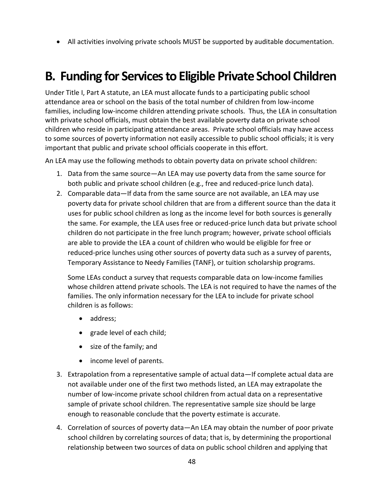• All activities involving private schools MUST be supported by auditable documentation.

### <span id="page-55-0"></span>**B. Funding for Services to Eligible Private School Children**

Under Title I, Part A statute, an LEA must allocate funds to a participating public school attendance area or school on the basis of the total number of children from low-income families, including low-income children attending private schools. Thus, the LEA in consultation with private school officials, must obtain the best available poverty data on private school children who reside in participating attendance areas. Private school officials may have access to some sources of poverty information not easily accessible to public school officials; it is very important that public and private school officials cooperate in this effort.

An LEA may use the following methods to obtain poverty data on private school children:

- 1. Data from the same source—An LEA may use poverty data from the same source for both public and private school children (e.g., free and reduced-price lunch data).
- 2. Comparable data—If data from the same source are not available, an LEA may use poverty data for private school children that are from a different source than the data it uses for public school children as long as the income level for both sources is generally the same. For example, the LEA uses free or reduced-price lunch data but private school children do not participate in the free lunch program; however, private school officials are able to provide the LEA a count of children who would be eligible for free or reduced-price lunches using other sources of poverty data such as a survey of parents, Temporary Assistance to Needy Families (TANF), or tuition scholarship programs.

Some LEAs conduct a survey that requests comparable data on low-income families whose children attend private schools. The LEA is not required to have the names of the families. The only information necessary for the LEA to include for private school children is as follows:

- address:
- grade level of each child;
- size of the family; and
- income level of parents.
- 3. Extrapolation from a representative sample of actual data—If complete actual data are not available under one of the first two methods listed, an LEA may extrapolate the number of low-income private school children from actual data on a representative sample of private school children. The representative sample size should be large enough to reasonable conclude that the poverty estimate is accurate.
- 4. Correlation of sources of poverty data—An LEA may obtain the number of poor private school children by correlating sources of data; that is, by determining the proportional relationship between two sources of data on public school children and applying that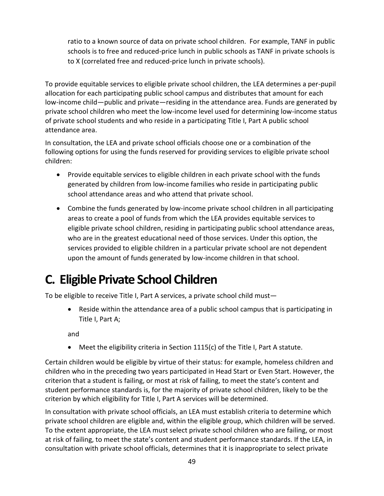ratio to a known source of data on private school children. For example, TANF in public schools is to free and reduced-price lunch in public schools as TANF in private schools is to X (correlated free and reduced-price lunch in private schools).

To provide equitable services to eligible private school children, the LEA determines a per-pupil allocation for each participating public school campus and distributes that amount for each low-income child—public and private—residing in the attendance area. Funds are generated by private school children who meet the low-income level used for determining low-income status of private school students and who reside in a participating Title I, Part A public school attendance area.

In consultation, the LEA and private school officials choose one or a combination of the following options for using the funds reserved for providing services to eligible private school children:

- Provide equitable services to eligible children in each private school with the funds generated by children from low-income families who reside in participating public school attendance areas and who attend that private school.
- Combine the funds generated by low-income private school children in all participating areas to create a pool of funds from which the LEA provides equitable services to eligible private school children, residing in participating public school attendance areas, who are in the greatest educational need of those services. Under this option, the services provided to eligible children in a particular private school are not dependent upon the amount of funds generated by low-income children in that school.

## <span id="page-56-0"></span>**C. Eligible Private School Children**

To be eligible to receive Title I, Part A services, a private school child must—

• Reside within the attendance area of a public school campus that is participating in Title I, Part A;

and

• Meet the eligibility criteria in Section 1115(c) of the Title I, Part A statute.

Certain children would be eligible by virtue of their status: for example, homeless children and children who in the preceding two years participated in Head Start or Even Start. However, the criterion that a student is failing, or most at risk of failing, to meet the state's content and student performance standards is, for the majority of private school children, likely to be the criterion by which eligibility for Title I, Part A services will be determined.

In consultation with private school officials, an LEA must establish criteria to determine which private school children are eligible and, within the eligible group, which children will be served. To the extent appropriate, the LEA must select private school children who are failing, or most at risk of failing, to meet the state's content and student performance standards. If the LEA, in consultation with private school officials, determines that it is inappropriate to select private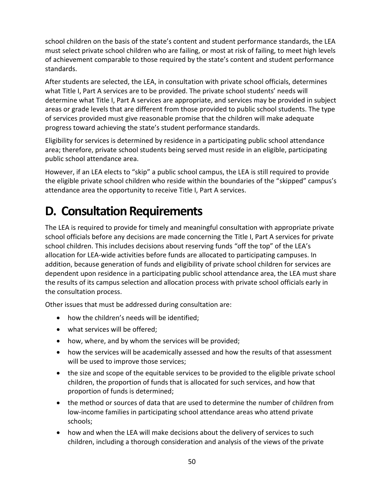school children on the basis of the state's content and student performance standards, the LEA must select private school children who are failing, or most at risk of failing, to meet high levels of achievement comparable to those required by the state's content and student performance standards.

After students are selected, the LEA, in consultation with private school officials, determines what Title I, Part A services are to be provided. The private school students' needs will determine what Title I, Part A services are appropriate, and services may be provided in subject areas or grade levels that are different from those provided to public school students. The type of services provided must give reasonable promise that the children will make adequate progress toward achieving the state's student performance standards.

Eligibility for services is determined by residence in a participating public school attendance area; therefore, private school students being served must reside in an eligible, participating public school attendance area.

However, if an LEA elects to "skip" a public school campus, the LEA is still required to provide the eligible private school children who reside within the boundaries of the "skipped" campus's attendance area the opportunity to receive Title I, Part A services.

### <span id="page-57-0"></span>**D. Consultation Requirements**

The LEA is required to provide for timely and meaningful consultation with appropriate private school officials before any decisions are made concerning the Title I, Part A services for private school children. This includes decisions about reserving funds "off the top" of the LEA's allocation for LEA-wide activities before funds are allocated to participating campuses. In addition, because generation of funds and eligibility of private school children for services are dependent upon residence in a participating public school attendance area, the LEA must share the results of its campus selection and allocation process with private school officials early in the consultation process.

Other issues that must be addressed during consultation are:

- how the children's needs will be identified;
- what services will be offered:
- how, where, and by whom the services will be provided;
- how the services will be academically assessed and how the results of that assessment will be used to improve those services;
- the size and scope of the equitable services to be provided to the eligible private school children, the proportion of funds that is allocated for such services, and how that proportion of funds is determined;
- the method or sources of data that are used to determine the number of children from low-income families in participating school attendance areas who attend private schools;
- how and when the LEA will make decisions about the delivery of services to such children, including a thorough consideration and analysis of the views of the private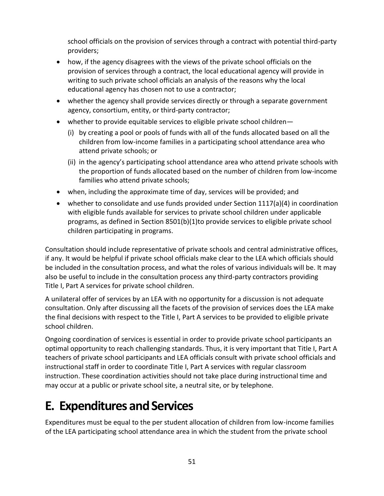school officials on the provision of services through a contract with potential third-party providers;

- how, if the agency disagrees with the views of the private school officials on the provision of services through a contract, the local educational agency will provide in writing to such private school officials an analysis of the reasons why the local educational agency has chosen not to use a contractor;
- whether the agency shall provide services directly or through a separate government agency, consortium, entity, or third-party contractor;
- whether to provide equitable services to eligible private school children—
	- (i) by creating a pool or pools of funds with all of the funds allocated based on all the children from low-income families in a participating school attendance area who attend private schools; or
	- (ii) in the agency's participating school attendance area who attend private schools with the proportion of funds allocated based on the number of children from low-income families who attend private schools;
- when, including the approximate time of day, services will be provided; and
- whether to consolidate and use funds provided under Section 1117(a)(4) in coordination with eligible funds available for services to private school children under applicable programs, as defined in Section 8501(b)(1)to provide services to eligible private school children participating in programs.

Consultation should include representative of private schools and central administrative offices, if any. It would be helpful if private school officials make clear to the LEA which officials should be included in the consultation process, and what the roles of various individuals will be. It may also be useful to include in the consultation process any third-party contractors providing Title I, Part A services for private school children.

A unilateral offer of services by an LEA with no opportunity for a discussion is not adequate consultation. Only after discussing all the facets of the provision of services does the LEA make the final decisions with respect to the Title I, Part A services to be provided to eligible private school children.

Ongoing coordination of services is essential in order to provide private school participants an optimal opportunity to reach challenging standards. Thus, it is very important that Title I, Part A teachers of private school participants and LEA officials consult with private school officials and instructional staff in order to coordinate Title I, Part A services with regular classroom instruction. These coordination activities should not take place during instructional time and may occur at a public or private school site, a neutral site, or by telephone.

### <span id="page-58-0"></span>**E. Expenditures and Services**

Expenditures must be equal to the per student allocation of children from low-income families of the LEA participating school attendance area in which the student from the private school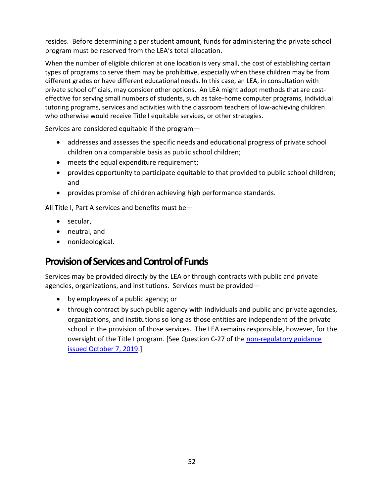resides. Before determining a per student amount, funds for administering the private school program must be reserved from the LEA's total allocation.

When the number of eligible children at one location is very small, the cost of establishing certain types of programs to serve them may be prohibitive, especially when these children may be from different grades or have different educational needs. In this case, an LEA, in consultation with private school officials, may consider other options. An LEA might adopt methods that are costeffective for serving small numbers of students, such as take-home computer programs, individual tutoring programs, services and activities with the classroom teachers of low-achieving children who otherwise would receive Title I equitable services, or other strategies.

Services are considered equitable if the program—

- addresses and assesses the specific needs and educational progress of private school children on a comparable basis as public school children;
- meets the equal expenditure requirement;
- provides opportunity to participate equitable to that provided to public school children; and
- provides promise of children achieving high performance standards.

All Title I, Part A services and benefits must be—

- secular,
- neutral, and
- nonideological.

### <span id="page-59-0"></span>**Provision of Services and Control of Funds**

Services may be provided directly by the LEA or through contracts with public and private agencies, organizations, and institutions. Services must be provided—

- by employees of a public agency; or
- through contract by such public agency with individuals and public and private agencies, organizations, and institutions so long as those entities are independent of the private school in the provision of those services. The LEA remains responsible, however, for the oversight of the Title I program. [See Question C-27 of the non-regulatory guidance [issued October 7, 2019.](https://www2.ed.gov/about/inits/ed/non-public-education/files/equitable-services-guidance-100419.pdf)]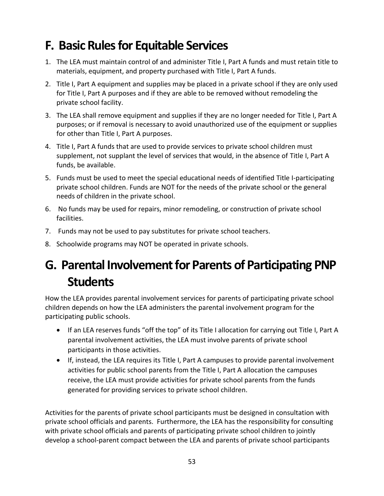### <span id="page-60-0"></span>**F. Basic Rules for Equitable Services**

- 1. The LEA must maintain control of and administer Title I, Part A funds and must retain title to materials, equipment, and property purchased with Title I, Part A funds.
- 2. Title I, Part A equipment and supplies may be placed in a private school if they are only used for Title I, Part A purposes and if they are able to be removed without remodeling the private school facility.
- 3. The LEA shall remove equipment and supplies if they are no longer needed for Title I, Part A purposes; or if removal is necessary to avoid unauthorized use of the equipment or supplies for other than Title I, Part A purposes.
- 4. Title I, Part A funds that are used to provide services to private school children must supplement, not supplant the level of services that would, in the absence of Title I, Part A funds, be available.
- 5. Funds must be used to meet the special educational needs of identified Title I-participating private school children. Funds are NOT for the needs of the private school or the general needs of children in the private school.
- 6. No funds may be used for repairs, minor remodeling, or construction of private school facilities.
- 7. Funds may not be used to pay substitutes for private school teachers.
- 8. Schoolwide programs may NOT be operated in private schools.

## <span id="page-60-1"></span>**G. Parental Involvement for Parents of Participating PNP Students**

How the LEA provides parental involvement services for parents of participating private school children depends on how the LEA administers the parental involvement program for the participating public schools.

- If an LEA reserves funds "off the top" of its Title I allocation for carrying out Title I, Part A parental involvement activities, the LEA must involve parents of private school participants in those activities.
- If, instead, the LEA requires its Title I, Part A campuses to provide parental involvement activities for public school parents from the Title I, Part A allocation the campuses receive, the LEA must provide activities for private school parents from the funds generated for providing services to private school children.

Activities for the parents of private school participants must be designed in consultation with private school officials and parents. Furthermore, the LEA has the responsibility for consulting with private school officials and parents of participating private school children to jointly develop a school-parent compact between the LEA and parents of private school participants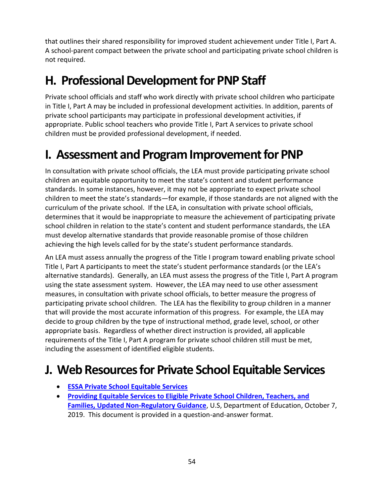that outlines their shared responsibility for improved student achievement under Title I, Part A. A school-parent compact between the private school and participating private school children is not required.

### <span id="page-61-0"></span>**H. Professional Development for PNP Staff**

Private school officials and staff who work directly with private school children who participate in Title I, Part A may be included in professional development activities. In addition, parents of private school participants may participate in professional development activities, if appropriate. Public school teachers who provide Title I, Part A services to private school children must be provided professional development, if needed.

### <span id="page-61-1"></span>**I. Assessment and Program Improvement for PNP**

In consultation with private school officials, the LEA must provide participating private school children an equitable opportunity to meet the state's content and student performance standards. In some instances, however, it may not be appropriate to expect private school children to meet the state's standards—for example, if those standards are not aligned with the curriculum of the private school. If the LEA, in consultation with private school officials, determines that it would be inappropriate to measure the achievement of participating private school children in relation to the state's content and student performance standards, the LEA must develop alternative standards that provide reasonable promise of those children achieving the high levels called for by the state's student performance standards.

An LEA must assess annually the progress of the Title I program toward enabling private school Title I, Part A participants to meet the state's student performance standards (or the LEA's alternative standards). Generally, an LEA must assess the progress of the Title I, Part A program using the state assessment system. However, the LEA may need to use other assessment measures, in consultation with private school officials, to better measure the progress of participating private school children. The LEA has the flexibility to group children in a manner that will provide the most accurate information of this progress. For example, the LEA may decide to group children by the type of instructional method, grade level, school, or other appropriate basis. Regardless of whether direct instruction is provided, all applicable requirements of the Title I, Part A program for private school children still must be met, including the assessment of identified eligible students.

### <span id="page-61-2"></span>**J. Web Resources for Private School Equitable Services**

- **[ESSA Private School Equitable Services](https://tea.texas.gov/finance-and-grants/grants/state-federal/essa-private-school-equitable-services)**
- **[Providing Equitable Services to Eligible Private School Children, Teachers, and](https://www2.ed.gov/about/inits/ed/non-public-education/files/equitable-services-guidance-100419.pdf)  [Families, Updated Non-Regulatory Guidance](https://www2.ed.gov/about/inits/ed/non-public-education/files/equitable-services-guidance-100419.pdf)**, U.S, Department of Education, October 7, 2019. This document is provided in a question-and-answer format.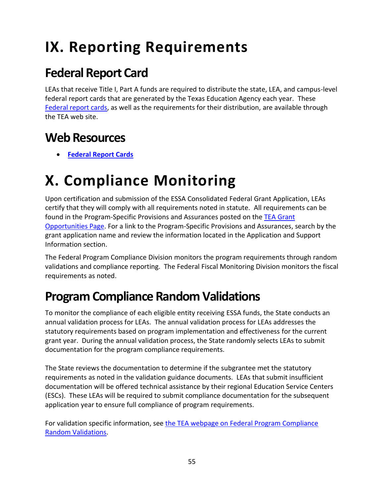# <span id="page-62-0"></span>**IX. Reporting Requirements**

### <span id="page-62-1"></span>**Federal Report Card**

LEAs that receive Title I, Part A funds are required to distribute the state, LEA, and campus-level federal report cards that are generated by the Texas Education Agency each year. These [Federal report cards,](https://tea.texas.gov/Student_Testing_and_Accountability/Accountability/State_Accountability/Performance_Reporting/Federal_Report_Cards) as well as the requirements for their distribution, are available through the TEA web site.

### <span id="page-62-2"></span>**Web Resources**

• **[Federal Report Cards](https://tea.texas.gov/Student_Testing_and_Accountability/Accountability/State_Accountability/Performance_Reporting/Federal_Report_Cards)**

# <span id="page-62-3"></span>**X. Compliance Monitoring**

Upon certification and submission of the ESSA Consolidated Federal Grant Application, LEAs certify that they will comply with all requirements noted in statute. All requirements can be found in the Program-Specific Provisions and Assurances posted on the TEA Grant [Opportunities Page.](https://tea4avalonzo.tea.state.tx.us/GrantOpportunities/forms/GrantProgramSearch.aspx) For a link to the Program-Specific Provisions and Assurances, search by the grant application name and review the information located in the Application and Support Information section.

The Federal Program Compliance Division monitors the program requirements through random validations and compliance reporting. The Federal Fiscal Monitoring Division monitors the fiscal requirements as noted.

## <span id="page-62-4"></span>**Program Compliance Random Validations**

To monitor the compliance of each eligible entity receiving ESSA funds, the State conducts an annual validation process for LEAs. The annual validation process for LEAs addresses the statutory requirements based on program implementation and effectiveness for the current grant year. During the annual validation process, the State randomly selects LEAs to submit documentation for the program compliance requirements.

The State reviews the documentation to determine if the subgrantee met the statutory requirements as noted in the validation guidance documents. LEAs that submit insufficient documentation will be offered technical assistance by their regional Education Service Centers (ESCs). These LEAs will be required to submit compliance documentation for the subsequent application year to ensure full compliance of program requirements.

For validation specific information, see the TEA webpage on Federal Program Compliance [Random Validations.](https://tea.texas.gov/finance-and-grants/grants/essa-program/essa-program-monitoring-random-validations)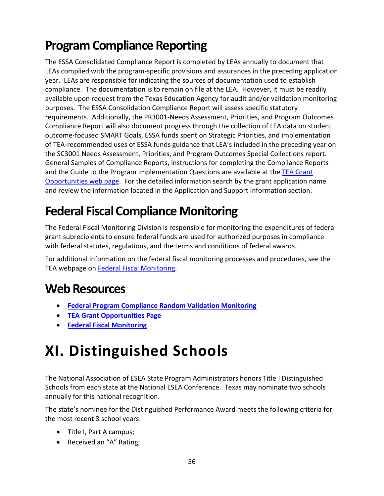## <span id="page-63-0"></span>**Program Compliance Reporting**

The ESSA Consolidated Compliance Report is completed by LEAs annually to document that LEAs complied with the program-specific provisions and assurances in the preceding application year. LEAs are responsible for indicating the sources of documentation used to establish compliance. The documentation is to remain on file at the LEA. However, it must be readily available upon request from the Texas Education Agency for audit and/or validation monitoring purposes. The ESSA Consolidation Compliance Report will assess specific statutory requirements. Additionally, the PR3001-Needs Assessment, Priorities, and Program Outcomes Compliance Report will also document progress through the collection of LEA data on student outcome-focused SMART Goals, ESSA funds spent on Strategic Priorities, and implementation of TEA-recommended uses of ESSA funds guidance that LEA's included in the preceding year on the SC3001 Needs Assessment, Priorities, and Program Outcomes Special Collections report. General Samples of Compliance Reports, instructions for completing the Compliance Reports and the Guide to the Program Implementation Questions are available at th[e TEA Grant](https://tea4avalonzo.tea.state.tx.us/GrantOpportunities/forms/GrantProgramSearch.aspx)  [Opportunities web page.](https://tea4avalonzo.tea.state.tx.us/GrantOpportunities/forms/GrantProgramSearch.aspx) For the detailed information search by the grant application name and review the information located in the Application and Support Information section.

### <span id="page-63-1"></span>**Federal Fiscal Compliance Monitoring**

The Federal Fiscal Monitoring Division is responsible for monitoring the expenditures of federal grant subrecipients to ensure federal funds are used for authorized purposes in compliance with federal statutes, regulations, and the terms and conditions of federal awards.

For additional information on the federal fiscal monitoring processes and procedures, see the TEA webpage on [Federal Fiscal Monitoring.](https://tea.texas.gov/Finance_and_Grants/Grants/Federal_Fiscal_Monitoring/Federal_Fiscal_Monitoring_Division/)

### <span id="page-63-2"></span>**Web Resources**

- **[Federal Program Compliance Random Validation Monitoring](https://tea.texas.gov/finance-and-grants/grants/essa-program/essa-program-random-validations)**
- **[TEA Grant Opportunities Page](https://tea4avalonzo.tea.state.tx.us/GrantOpportunities/forms/GrantProgramSearch.aspx)**
- **[Federal Fiscal Monitoring](https://tea.texas.gov/Finance_and_Grants/Grants/Federal_Fiscal_Monitoring)**

# <span id="page-63-3"></span>**XI. Distinguished Schools**

The National Association of ESEA State Program Administrators honors Title I Distinguished Schools from each state at the National ESEA Conference. Texas may nominate two schools annually for this national recognition.

The state's nominee for the Distinguished Performance Award meets the following criteria for the most recent 3 school years:

- Title I, Part A campus;
- Received an "A" Rating;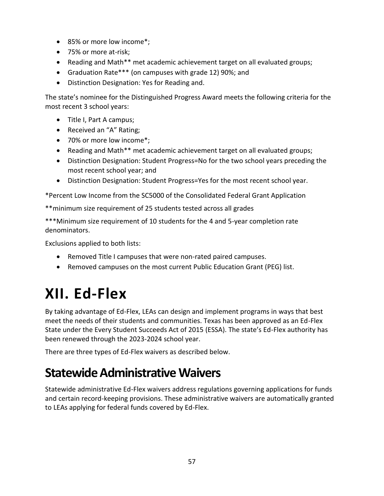- 85% or more low income\*;
- 75% or more at-risk;
- Reading and Math\*\* met academic achievement target on all evaluated groups;
- Graduation Rate\*\*\* (on campuses with grade 12) 90%; and
- Distinction Designation: Yes for Reading and.

The state's nominee for the Distinguished Progress Award meets the following criteria for the most recent 3 school years:

- Title I, Part A campus;
- Received an "A" Rating;
- 70% or more low income\*;
- Reading and Math\*\* met academic achievement target on all evaluated groups;
- Distinction Designation: Student Progress=No for the two school years preceding the most recent school year; and
- Distinction Designation: Student Progress=Yes for the most recent school year.

\*Percent Low Income from the SC5000 of the Consolidated Federal Grant Application

\*\*minimum size requirement of 25 students tested across all grades

\*\*\*Minimum size requirement of 10 students for the 4 and 5-year completion rate denominators.

Exclusions applied to both lists:

- Removed Title I campuses that were non-rated paired campuses.
- Removed campuses on the most current Public Education Grant (PEG) list.

# <span id="page-64-0"></span>**XII. Ed-Flex**

By taking advantage of Ed-Flex, LEAs can design and implement programs in ways that best meet the needs of their students and communities. Texas has been approved as an Ed-Flex State under the Every Student Succeeds Act of 2015 (ESSA). The state's Ed-Flex authority has been renewed through the 2023-2024 school year.

There are three types of Ed-Flex waivers as described below.

### <span id="page-64-1"></span>**Statewide Administrative Waivers**

Statewide administrative Ed-Flex waivers address regulations governing applications for funds and certain record-keeping provisions. These administrative waivers are automatically granted to LEAs applying for federal funds covered by Ed-Flex.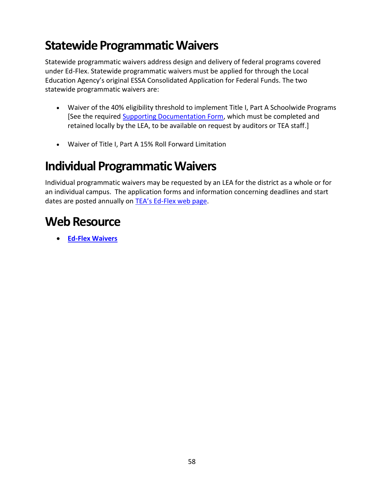### <span id="page-65-0"></span>**Statewide Programmatic Waivers**

Statewide programmatic waivers address design and delivery of federal programs covered under Ed-Flex. Statewide programmatic waivers must be applied for through the Local Education Agency's original ESSA Consolidated Application for Federal Funds. The two statewide programmatic waivers are:

- Waiver of the 40% eligibility threshold to implement Title I, Part A Schoolwide Programs [See the required [Supporting Documentation Form,](https://tea.texas.gov/sites/default/files/EDFLEXSWWVRDOC.docx) which must be completed and retained locally by the LEA, to be available on request by auditors or TEA staff.]
- Waiver of Title I, Part A 15% Roll Forward Limitation

### <span id="page-65-1"></span>**Individual Programmatic Waivers**

Individual programmatic waivers may be requested by an LEA for the district as a whole or for an individual campus. The application forms and information concerning deadlines and start dates are posted annually on TEA's Ed[-Flex web page.](https://tea.texas.gov/finance-and-grants/grants/essa-program/ed-flex-waivers)

### <span id="page-65-2"></span>**Web Resource**

• **[Ed-Flex Waivers](https://tea.texas.gov/finance-and-grants/grants/essa-program/ed-flex-waivers)**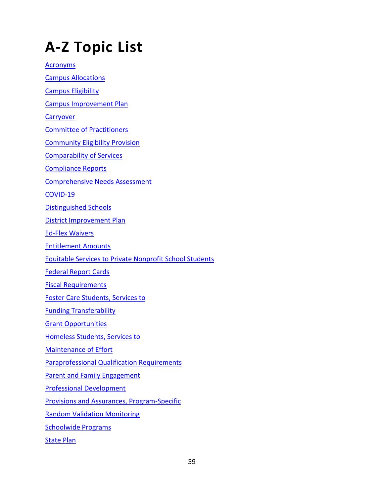# <span id="page-66-0"></span>**A-Z Topic List**

**[Acronyms](https://tea.texas.gov/sites/default/files/fpcacronyms.pdf)** [Campus Allocations](#page-18-1) [Campus Eligibility](#page-16-1) [Campus Improvement Plan](#page-23-2) **Carryover** [Committee of Practitioners](https://tea.texas.gov/finance-and-grants/grants/essa-program/committee-of-practitioners) [Community Eligibility Provision](https://tea.texas.gov/finance-and-grants/grants/essa-program/community-eligibility-provision) [Comparability of Services](#page-47-0) [Compliance Reports](https://tea.texas.gov/finance-and-grants/grants/essa-program/essa-consolidated-compliance-reports-resources) [Comprehensive Needs Assessment](#page-23-1) [COVID-19](#page-3-0) [Distinguished Schools](#page-63-3) [District Improvement Plan](#page-11-0) [Ed-Flex Waivers](#page-64-0) [Entitlement Amounts](https://tea.texas.gov/finance-and-grants/grants/grants-administration/applying-for-a-grant/entitlements) [Equitable Services to Private Nonprofit School Students](#page-54-0) [Federal Report Cards](#page-62-1) [Fiscal Requirements](#page-46-3) [Foster Care Students, Services to](#page-35-2) [Funding Transferability](https://tea.texas.gov/finance-and-grants/grants/essa-program/title-v-part-funding-transferability) [Grant Opportunities](https://tea4avalonzo.tea.state.tx.us/GrantOpportunities/forms/GrantProgramSearch.aspx) [Homeless Students, Services to](#page-34-0) [Maintenance of Effort](#page-46-1) [Paraprofessional Qualification Requirements](#page-42-2) [Parent and Family Engagement](#page-36-0) [Professional Development](#page-52-1) [Provisions and Assurances, Program-Specific](#page-10-1) [Random Validation Monitoring](#page-62-3) [Schoolwide Programs](#page-22-0)

**[State Plan](#page-8-2)**